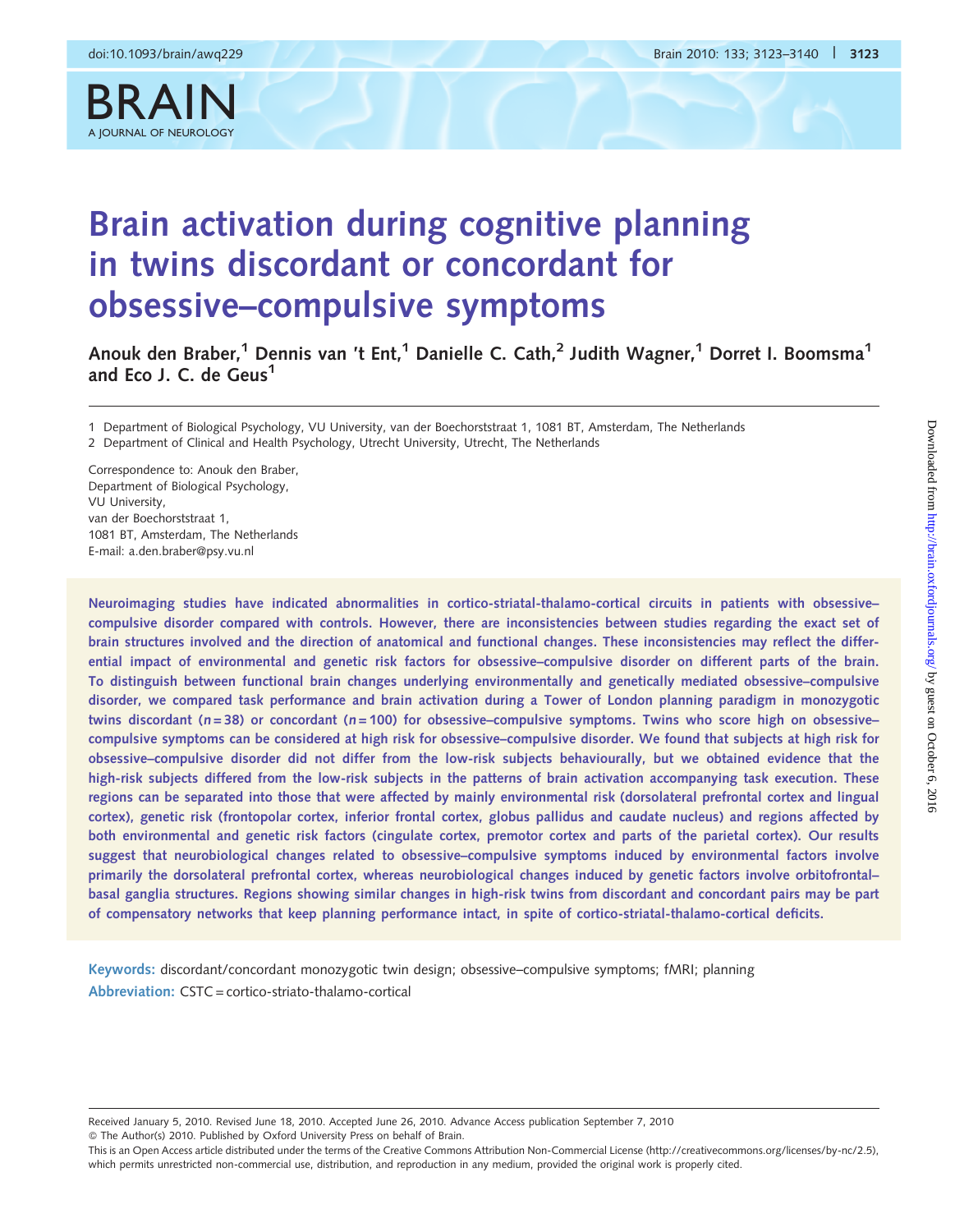BRAIN



# Brain activation during cognitive planning in twins discordant or concordant for obsessive–compulsive symptoms

Anouk den Braber,<sup>1</sup> Dennis van 't Ent,<sup>1</sup> Danielle C. Cath,<sup>2</sup> Judith Wagner,<sup>1</sup> Dorret I. Boomsma<sup>1</sup> and Eco J. C. de Geus<sup>1</sup>

1 Department of Biological Psychology, VU University, van der Boechorststraat 1, 1081 BT, Amsterdam, The Netherlands

2 Department of Clinical and Health Psychology, Utrecht University, Utrecht, The Netherlands

Correspondence to: Anouk den Braber, Department of Biological Psychology, VU University, van der Boechorststraat 1, 1081 BT, Amsterdam, The Netherlands E-mail: a.den.braber@psy.vu.nl

Neuroimaging studies have indicated abnormalities in cortico-striatal-thalamo-cortical circuits in patients with obsessive– compulsive disorder compared with controls. However, there are inconsistencies between studies regarding the exact set of brain structures involved and the direction of anatomical and functional changes. These inconsistencies may reflect the differential impact of environmental and genetic risk factors for obsessive–compulsive disorder on different parts of the brain. To distinguish between functional brain changes underlying environmentally and genetically mediated obsessive–compulsive disorder, we compared task performance and brain activation during a Tower of London planning paradigm in monozygotic twins discordant ( $n = 38$ ) or concordant ( $n = 100$ ) for obsessive–compulsive symptoms. Twins who score high on obsessive– compulsive symptoms can be considered at high risk for obsessive–compulsive disorder. We found that subjects at high risk for obsessive–compulsive disorder did not differ from the low-risk subjects behaviourally, but we obtained evidence that the high-risk subjects differed from the low-risk subjects in the patterns of brain activation accompanying task execution. These regions can be separated into those that were affected by mainly environmental risk (dorsolateral prefrontal cortex and lingual cortex), genetic risk (frontopolar cortex, inferior frontal cortex, globus pallidus and caudate nucleus) and regions affected by both environmental and genetic risk factors (cingulate cortex, premotor cortex and parts of the parietal cortex). Our results suggest that neurobiological changes related to obsessive–compulsive symptoms induced by environmental factors involve primarily the dorsolateral prefrontal cortex, whereas neurobiological changes induced by genetic factors involve orbitofrontal– basal ganglia structures. Regions showing similar changes in high-risk twins from discordant and concordant pairs may be part of compensatory networks that keep planning performance intact, in spite of cortico-striatal-thalamo-cortical deficits.

Keywords: discordant/concordant monozygotic twin design; obsessive–compulsive symptoms; fMRI; planning Abbreviation: CSTC = cortico-striato-thalamo-cortical

Received January 5, 2010. Revised June 18, 2010. Accepted June 26, 2010. Advance Access publication September 7, 2010 - The Author(s) 2010. Published by Oxford University Press on behalf of Brain.

This is an Open Access article distributed under the terms of the Creative Commons Attribution Non-Commercial License (http://creativecommons.org/licenses/by-nc/2.5), which permits unrestricted non-commercial use, distribution, and reproduction in any medium, provided the original work is properly cited.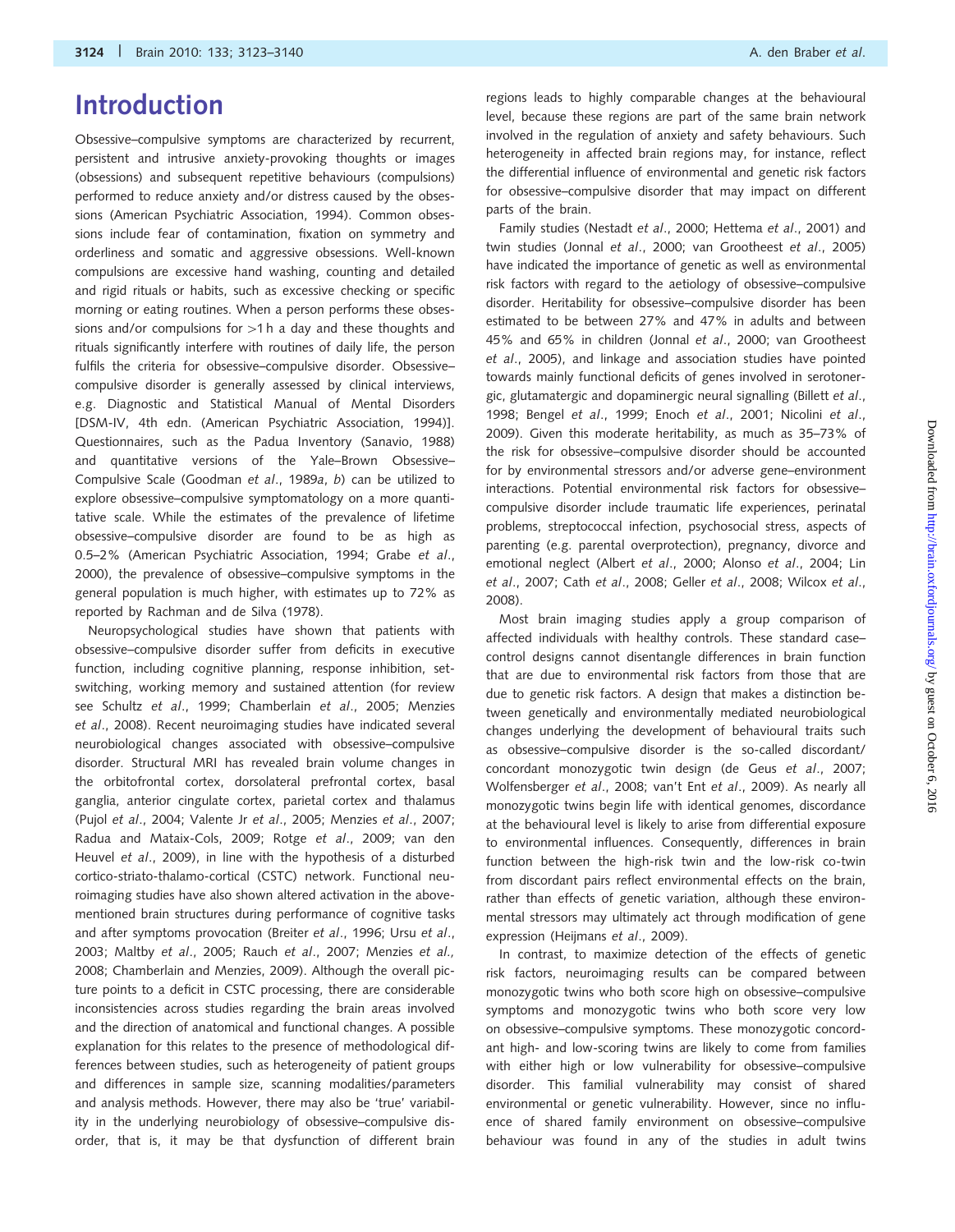## Introduction

Obsessive–compulsive symptoms are characterized by recurrent, persistent and intrusive anxiety-provoking thoughts or images (obsessions) and subsequent repetitive behaviours (compulsions) performed to reduce anxiety and/or distress caused by the obsessions (American Psychiatric Association, 1994). Common obsessions include fear of contamination, fixation on symmetry and orderliness and somatic and aggressive obsessions. Well-known compulsions are excessive hand washing, counting and detailed and rigid rituals or habits, such as excessive checking or specific morning or eating routines. When a person performs these obsessions and/or compulsions for  $>1$  h a day and these thoughts and rituals significantly interfere with routines of daily life, the person fulfils the criteria for obsessive–compulsive disorder. Obsessive– compulsive disorder is generally assessed by clinical interviews, e.g. Diagnostic and Statistical Manual of Mental Disorders [DSM-IV, 4th edn. (American Psychiatric Association, 1994)]. Questionnaires, such as the Padua Inventory (Sanavio, 1988) and quantitative versions of the Yale–Brown Obsessive– Compulsive Scale (Goodman et al., 1989a, b) can be utilized to explore obsessive–compulsive symptomatology on a more quantitative scale. While the estimates of the prevalence of lifetime obsessive–compulsive disorder are found to be as high as 0.5–2% (American Psychiatric Association, 1994; Grabe et al., 2000), the prevalence of obsessive–compulsive symptoms in the general population is much higher, with estimates up to 72% as reported by Rachman and de Silva (1978).

Neuropsychological studies have shown that patients with obsessive–compulsive disorder suffer from deficits in executive function, including cognitive planning, response inhibition, setswitching, working memory and sustained attention (for review see Schultz et al., 1999; Chamberlain et al., 2005; Menzies et al., 2008). Recent neuroimaging studies have indicated several neurobiological changes associated with obsessive–compulsive disorder. Structural MRI has revealed brain volume changes in the orbitofrontal cortex, dorsolateral prefrontal cortex, basal ganglia, anterior cingulate cortex, parietal cortex and thalamus (Pujol et al., 2004; Valente Jr et al., 2005; Menzies et al., 2007; Radua and Mataix-Cols, 2009; Rotge et al., 2009; van den Heuvel et al., 2009), in line with the hypothesis of a disturbed cortico-striato-thalamo-cortical (CSTC) network. Functional neuroimaging studies have also shown altered activation in the abovementioned brain structures during performance of cognitive tasks and after symptoms provocation (Breiter et al., 1996; Ursu et al., 2003; Maltby et al., 2005; Rauch et al., 2007; Menzies et al., 2008; Chamberlain and Menzies, 2009). Although the overall picture points to a deficit in CSTC processing, there are considerable inconsistencies across studies regarding the brain areas involved and the direction of anatomical and functional changes. A possible explanation for this relates to the presence of methodological differences between studies, such as heterogeneity of patient groups and differences in sample size, scanning modalities/parameters and analysis methods. However, there may also be 'true' variability in the underlying neurobiology of obsessive–compulsive disorder, that is, it may be that dysfunction of different brain

regions leads to highly comparable changes at the behavioural level, because these regions are part of the same brain network involved in the regulation of anxiety and safety behaviours. Such heterogeneity in affected brain regions may, for instance, reflect the differential influence of environmental and genetic risk factors for obsessive–compulsive disorder that may impact on different parts of the brain.

Family studies (Nestadt et al., 2000; Hettema et al., 2001) and twin studies (Jonnal et al., 2000; van Grootheest et al., 2005) have indicated the importance of genetic as well as environmental risk factors with regard to the aetiology of obsessive–compulsive disorder. Heritability for obsessive–compulsive disorder has been estimated to be between 27% and 47% in adults and between 45% and 65% in children (Jonnal et al., 2000; van Grootheest et al., 2005), and linkage and association studies have pointed towards mainly functional deficits of genes involved in serotonergic, glutamatergic and dopaminergic neural signalling (Billett et al., 1998; Bengel et al., 1999; Enoch et al., 2001; Nicolini et al., 2009). Given this moderate heritability, as much as 35–73% of the risk for obsessive–compulsive disorder should be accounted for by environmental stressors and/or adverse gene–environment interactions. Potential environmental risk factors for obsessive– compulsive disorder include traumatic life experiences, perinatal problems, streptococcal infection, psychosocial stress, aspects of parenting (e.g. parental overprotection), pregnancy, divorce and emotional neglect (Albert et al., 2000; Alonso et al., 2004; Lin et al., 2007; Cath et al., 2008; Geller et al., 2008; Wilcox et al., 2008).

Most brain imaging studies apply a group comparison of affected individuals with healthy controls. These standard case– control designs cannot disentangle differences in brain function that are due to environmental risk factors from those that are due to genetic risk factors. A design that makes a distinction between genetically and environmentally mediated neurobiological changes underlying the development of behavioural traits such as obsessive–compulsive disorder is the so-called discordant/ concordant monozygotic twin design (de Geus et al., 2007; Wolfensberger et al., 2008; van't Ent et al., 2009). As nearly all monozygotic twins begin life with identical genomes, discordance at the behavioural level is likely to arise from differential exposure to environmental influences. Consequently, differences in brain function between the high-risk twin and the low-risk co-twin from discordant pairs reflect environmental effects on the brain, rather than effects of genetic variation, although these environmental stressors may ultimately act through modification of gene expression (Heijmans et al., 2009).

In contrast, to maximize detection of the effects of genetic risk factors, neuroimaging results can be compared between monozygotic twins who both score high on obsessive–compulsive symptoms and monozygotic twins who both score very low on obsessive–compulsive symptoms. These monozygotic concordant high- and low-scoring twins are likely to come from families with either high or low vulnerability for obsessive–compulsive disorder. This familial vulnerability may consist of shared environmental or genetic vulnerability. However, since no influence of shared family environment on obsessive–compulsive behaviour was found in any of the studies in adult twins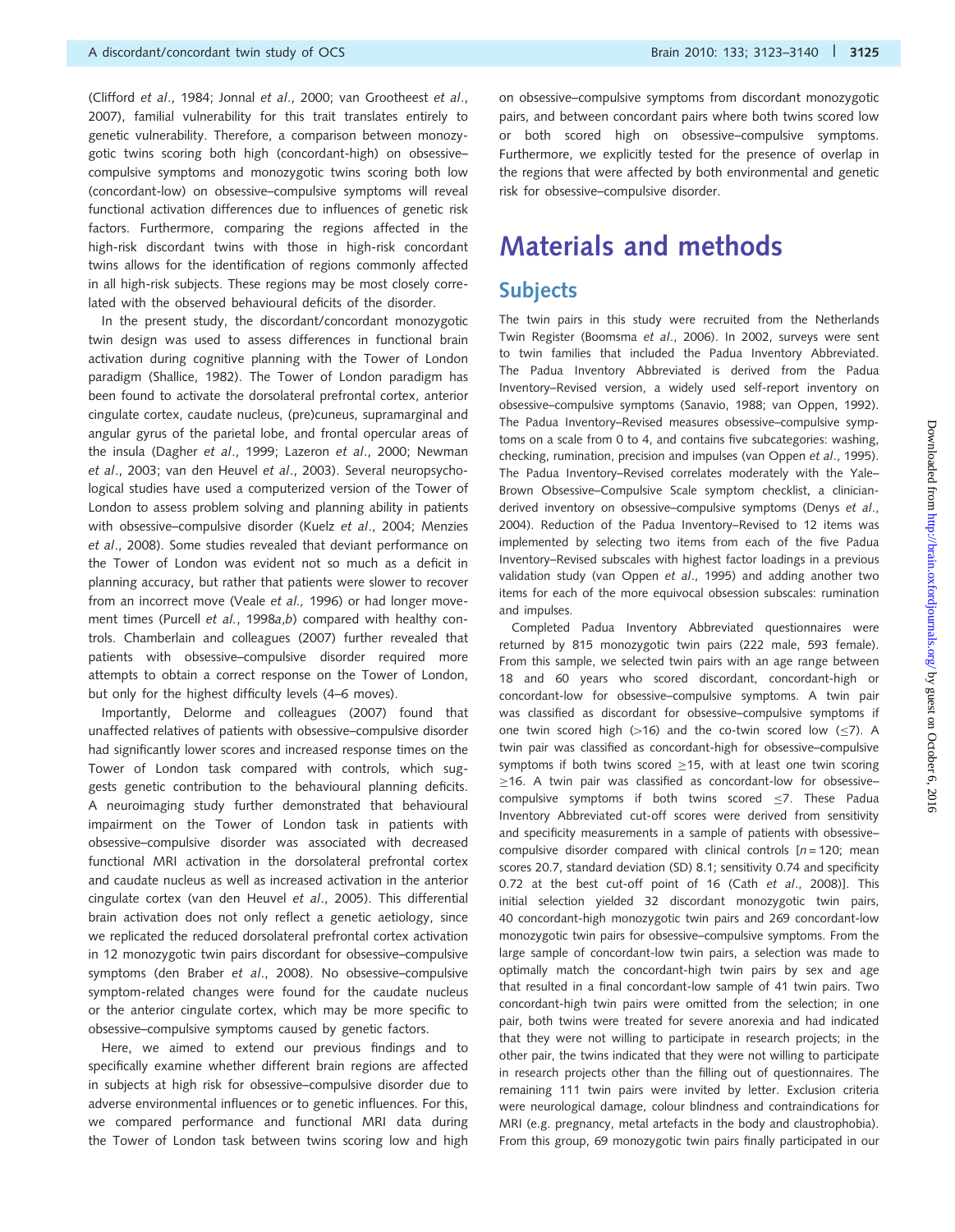(Clifford et al., 1984; Jonnal et al., 2000; van Grootheest et al., 2007), familial vulnerability for this trait translates entirely to genetic vulnerability. Therefore, a comparison between monozygotic twins scoring both high (concordant-high) on obsessive– compulsive symptoms and monozygotic twins scoring both low (concordant-low) on obsessive–compulsive symptoms will reveal functional activation differences due to influences of genetic risk factors. Furthermore, comparing the regions affected in the high-risk discordant twins with those in high-risk concordant twins allows for the identification of regions commonly affected in all high-risk subjects. These regions may be most closely correlated with the observed behavioural deficits of the disorder.

In the present study, the discordant/concordant monozygotic twin design was used to assess differences in functional brain activation during cognitive planning with the Tower of London paradigm (Shallice, 1982). The Tower of London paradigm has been found to activate the dorsolateral prefrontal cortex, anterior cingulate cortex, caudate nucleus, (pre)cuneus, supramarginal and angular gyrus of the parietal lobe, and frontal opercular areas of the insula (Dagher et al., 1999; Lazeron et al., 2000; Newman et al., 2003; van den Heuvel et al., 2003). Several neuropsychological studies have used a computerized version of the Tower of London to assess problem solving and planning ability in patients with obsessive–compulsive disorder (Kuelz et al., 2004; Menzies et al., 2008). Some studies revealed that deviant performance on the Tower of London was evident not so much as a deficit in planning accuracy, but rather that patients were slower to recover from an incorrect move (Veale et al., 1996) or had longer movement times (Purcell et al., 1998a,b) compared with healthy controls. Chamberlain and colleagues (2007) further revealed that patients with obsessive–compulsive disorder required more attempts to obtain a correct response on the Tower of London, but only for the highest difficulty levels (4–6 moves).

Importantly, Delorme and colleagues (2007) found that unaffected relatives of patients with obsessive–compulsive disorder had significantly lower scores and increased response times on the Tower of London task compared with controls, which suggests genetic contribution to the behavioural planning deficits. A neuroimaging study further demonstrated that behavioural impairment on the Tower of London task in patients with obsessive–compulsive disorder was associated with decreased functional MRI activation in the dorsolateral prefrontal cortex and caudate nucleus as well as increased activation in the anterior cingulate cortex (van den Heuvel et al., 2005). This differential brain activation does not only reflect a genetic aetiology, since we replicated the reduced dorsolateral prefrontal cortex activation in 12 monozygotic twin pairs discordant for obsessive–compulsive symptoms (den Braber et al., 2008). No obsessive–compulsive symptom-related changes were found for the caudate nucleus or the anterior cingulate cortex, which may be more specific to obsessive–compulsive symptoms caused by genetic factors.

Here, we aimed to extend our previous findings and to specifically examine whether different brain regions are affected in subjects at high risk for obsessive–compulsive disorder due to adverse environmental influences or to genetic influences. For this, we compared performance and functional MRI data during the Tower of London task between twins scoring low and high on obsessive–compulsive symptoms from discordant monozygotic pairs, and between concordant pairs where both twins scored low or both scored high on obsessive–compulsive symptoms. Furthermore, we explicitly tested for the presence of overlap in the regions that were affected by both environmental and genetic risk for obsessive–compulsive disorder.

## Materials and methods

### Subjects

The twin pairs in this study were recruited from the Netherlands Twin Register (Boomsma et al., 2006). In 2002, surveys were sent to twin families that included the Padua Inventory Abbreviated. The Padua Inventory Abbreviated is derived from the Padua Inventory–Revised version, a widely used self-report inventory on obsessive–compulsive symptoms (Sanavio, 1988; van Oppen, 1992). The Padua Inventory–Revised measures obsessive–compulsive symptoms on a scale from 0 to 4, and contains five subcategories: washing, checking, rumination, precision and impulses (van Oppen et al., 1995). The Padua Inventory–Revised correlates moderately with the Yale– Brown Obsessive–Compulsive Scale symptom checklist, a clinicianderived inventory on obsessive–compulsive symptoms (Denys et al., 2004). Reduction of the Padua Inventory–Revised to 12 items was implemented by selecting two items from each of the five Padua Inventory–Revised subscales with highest factor loadings in a previous validation study (van Oppen et al., 1995) and adding another two items for each of the more equivocal obsession subscales: rumination and impulses.

Completed Padua Inventory Abbreviated questionnaires were returned by 815 monozygotic twin pairs (222 male, 593 female). From this sample, we selected twin pairs with an age range between 18 and 60 years who scored discordant, concordant-high or concordant-low for obsessive–compulsive symptoms. A twin pair was classified as discordant for obsessive–compulsive symptoms if one twin scored high  $(>16)$  and the co-twin scored low  $(\leq 7)$ . A twin pair was classified as concordant-high for obsessive–compulsive symptoms if both twins scored  $\geq$ 15, with at least one twin scoring  $\geq$ 16. A twin pair was classified as concordant-low for obsessivecompulsive symptoms if both twins scored  $\leq$ 7. These Padua Inventory Abbreviated cut-off scores were derived from sensitivity and specificity measurements in a sample of patients with obsessive– compulsive disorder compared with clinical controls  $[n = 120;$  mean scores 20.7, standard deviation (SD) 8.1; sensitivity 0.74 and specificity 0.72 at the best cut-off point of 16 (Cath et al., 2008)]. This initial selection yielded 32 discordant monozygotic twin pairs, 40 concordant-high monozygotic twin pairs and 269 concordant-low monozygotic twin pairs for obsessive–compulsive symptoms. From the large sample of concordant-low twin pairs, a selection was made to optimally match the concordant-high twin pairs by sex and age that resulted in a final concordant-low sample of 41 twin pairs. Two concordant-high twin pairs were omitted from the selection; in one pair, both twins were treated for severe anorexia and had indicated that they were not willing to participate in research projects; in the other pair, the twins indicated that they were not willing to participate in research projects other than the filling out of questionnaires. The remaining 111 twin pairs were invited by letter. Exclusion criteria were neurological damage, colour blindness and contraindications for MRI (e.g. pregnancy, metal artefacts in the body and claustrophobia). From this group, 69 monozygotic twin pairs finally participated in our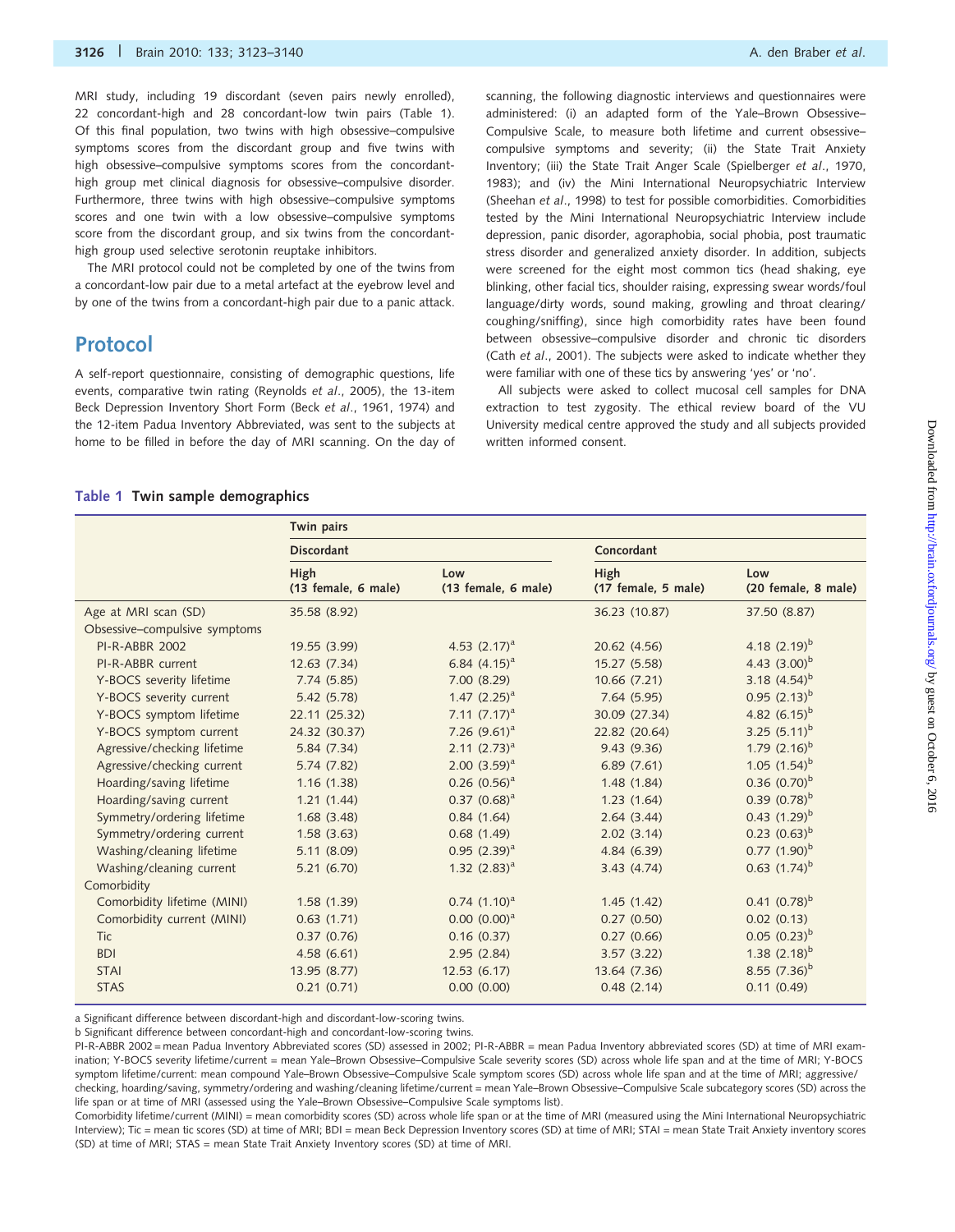MRI study, including 19 discordant (seven pairs newly enrolled), 22 concordant-high and 28 concordant-low twin pairs (Table 1). Of this final population, two twins with high obsessive–compulsive symptoms scores from the discordant group and five twins with high obsessive–compulsive symptoms scores from the concordanthigh group met clinical diagnosis for obsessive–compulsive disorder. Furthermore, three twins with high obsessive–compulsive symptoms scores and one twin with a low obsessive–compulsive symptoms score from the discordant group, and six twins from the concordanthigh group used selective serotonin reuptake inhibitors.

The MRI protocol could not be completed by one of the twins from a concordant-low pair due to a metal artefact at the eyebrow level and by one of the twins from a concordant-high pair due to a panic attack.

### Protocol

A self-report questionnaire, consisting of demographic questions, life events, comparative twin rating (Reynolds et al., 2005), the 13-item Beck Depression Inventory Short Form (Beck et al., 1961, 1974) and the 12-item Padua Inventory Abbreviated, was sent to the subjects at home to be filled in before the day of MRI scanning. On the day of scanning, the following diagnostic interviews and questionnaires were administered: (i) an adapted form of the Yale–Brown Obsessive– Compulsive Scale, to measure both lifetime and current obsessive– compulsive symptoms and severity; (ii) the State Trait Anxiety Inventory; (iii) the State Trait Anger Scale (Spielberger et al., 1970, 1983); and (iv) the Mini International Neuropsychiatric Interview (Sheehan et al., 1998) to test for possible comorbidities. Comorbidities tested by the Mini International Neuropsychiatric Interview include depression, panic disorder, agoraphobia, social phobia, post traumatic stress disorder and generalized anxiety disorder. In addition, subjects were screened for the eight most common tics (head shaking, eye blinking, other facial tics, shoulder raising, expressing swear words/foul language/dirty words, sound making, growling and throat clearing/ coughing/sniffing), since high comorbidity rates have been found between obsessive–compulsive disorder and chronic tic disorders (Cath et al., 2001). The subjects were asked to indicate whether they were familiar with one of these tics by answering 'yes' or 'no'.

All subjects were asked to collect mucosal cell samples for DNA extraction to test zygosity. The ethical review board of the VU University medical centre approved the study and all subjects provided written informed consent.

#### Table 1 Twin sample demographics

|                               | Twin pairs                  |                            |                             |                            |
|-------------------------------|-----------------------------|----------------------------|-----------------------------|----------------------------|
|                               | <b>Discordant</b>           |                            | Concordant                  |                            |
|                               | High<br>(13 female, 6 male) | Low<br>(13 female, 6 male) | High<br>(17 female, 5 male) | Low<br>(20 female, 8 male) |
| Age at MRI scan (SD)          | 35.58 (8.92)                |                            | 36.23 (10.87)               | 37.50 (8.87)               |
| Obsessive-compulsive symptoms |                             |                            |                             |                            |
| <b>PI-R-ABBR 2002</b>         | 19.55 (3.99)                | 4.53 $(2.17)^a$            | 20.62 (4.56)                | 4.18 $(2.19)^b$            |
| PI-R-ABBR current             | 12.63(7.34)                 | 6.84 $(4.15)^a$            | 15.27 (5.58)                | 4.43 $(3.00)^b$            |
| Y-BOCS severity lifetime      | 7.74(5.85)                  | 7.00(8.29)                 | 10.66 (7.21)                | 3.18 $(4.54)^b$            |
| Y-BOCS severity current       | 5.42 (5.78)                 | 1.47 $(2.25)^a$            | 7.64(5.95)                  | $0.95$ $(2.13)^{b}$        |
| Y-BOCS symptom lifetime       | 22.11 (25.32)               | 7.11 $(7.17)^a$            | 30.09 (27.34)               | 4.82 $(6.15)^b$            |
| Y-BOCS symptom current        | 24.32 (30.37)               | 7.26 $(9.61)^a$            | 22.82 (20.64)               | 3.25 $(5.11)^b$            |
| Agressive/checking lifetime   | 5.84 (7.34)                 | $2.11 (2.73)^a$            | 9.43(9.36)                  | 1.79 $(2.16)^b$            |
| Agressive/checking current    | 5.74 (7.82)                 | $2.00(3.59)^a$             | 6.89(7.61)                  | 1.05 $(1.54)^b$            |
| Hoarding/saving lifetime      | 1.16(1.38)                  | $0.26$ $(0.56)^a$          | 1.48(1.84)                  | $0.36$ $(0.70)^b$          |
| Hoarding/saving current       | 1.21(1.44)                  | $0.37 (0.68)^a$            | 1.23(1.64)                  | $0.39(0.78)^b$             |
| Symmetry/ordering lifetime    | 1.68(3.48)                  | 0.84(1.64)                 | 2.64(3.44)                  | $0.43$ $(1.29)^{b}$        |
| Symmetry/ordering current     | 1.58(3.63)                  | 0.68(1.49)                 | 2.02(3.14)                  | $0.23$ $(0.63)^{b}$        |
| Washing/cleaning lifetime     | 5.11(8.09)                  | $0.95$ $(2.39)^a$          | 4.84 (6.39)                 | $0.77$ $(1.90)^b$          |
| Washing/cleaning current      | 5.21(6.70)                  | 1.32 $(2.83)^a$            | 3.43(4.74)                  | $0.63$ $(1.74)^{b}$        |
| Comorbidity                   |                             |                            |                             |                            |
| Comorbidity lifetime (MINI)   | 1.58(1.39)                  | $0.74$ $(1.10)^a$          | 1.45(1.42)                  | $0.41 (0.78)^{b}$          |
| Comorbidity current (MINI)    | 0.63(1.71)                  | $0.00 (0.00)^a$            | 0.27(0.50)                  | 0.02(0.13)                 |
| <b>Tic</b>                    | 0.37(0.76)                  | 0.16(0.37)                 | 0.27(0.66)                  | $0.05$ $(0.23)^{b}$        |
| <b>BDI</b>                    | 4.58(6.61)                  | 2.95(2.84)                 | 3.57(3.22)                  | 1.38 $(2.18)^{b}$          |
| <b>STAI</b>                   | 13.95 (8.77)                | 12.53(6.17)                | 13.64 (7.36)                | 8.55 $(7.36)^b$            |
| <b>STAS</b>                   | 0.21(0.71)                  | 0.00(0.00)                 | 0.48(2.14)                  | 0.11(0.49)                 |

a Significant difference between discordant-high and discordant-low-scoring twins.

b Significant difference between concordant-high and concordant-low-scoring twins.

PI-R-ABBR 2002 = mean Padua Inventory Abbreviated scores (SD) assessed in 2002; PI-R-ABBR = mean Padua Inventory abbreviated scores (SD) at time of MRI examination; Y-BOCS severity lifetime/current = mean Yale–Brown Obsessive–Compulsive Scale severity scores (SD) across whole life span and at the time of MRI; Y-BOCS symptom lifetime/current: mean compound Yale–Brown Obsessive–Compulsive Scale symptom scores (SD) across whole life span and at the time of MRI; aggressive/ checking, hoarding/saving, symmetry/ordering and washing/cleaning lifetime/current = mean Yale–Brown Obsessive–Compulsive Scale subcategory scores (SD) across the life span or at time of MRI (assessed using the Yale–Brown Obsessive–Compulsive Scale symptoms list).

Comorbidity lifetime/current (MINI) = mean comorbidity scores (SD) across whole life span or at the time of MRI (measured using the Mini International Neuropsychiatric Interview); Tic = mean tic scores (SD) at time of MRI; BDI = mean Beck Depression Inventory scores (SD) at time of MRI; STAI = mean State Trait Anxiety inventory scores (SD) at time of MRI; STAS = mean State Trait Anxiety Inventory scores (SD) at time of MRI.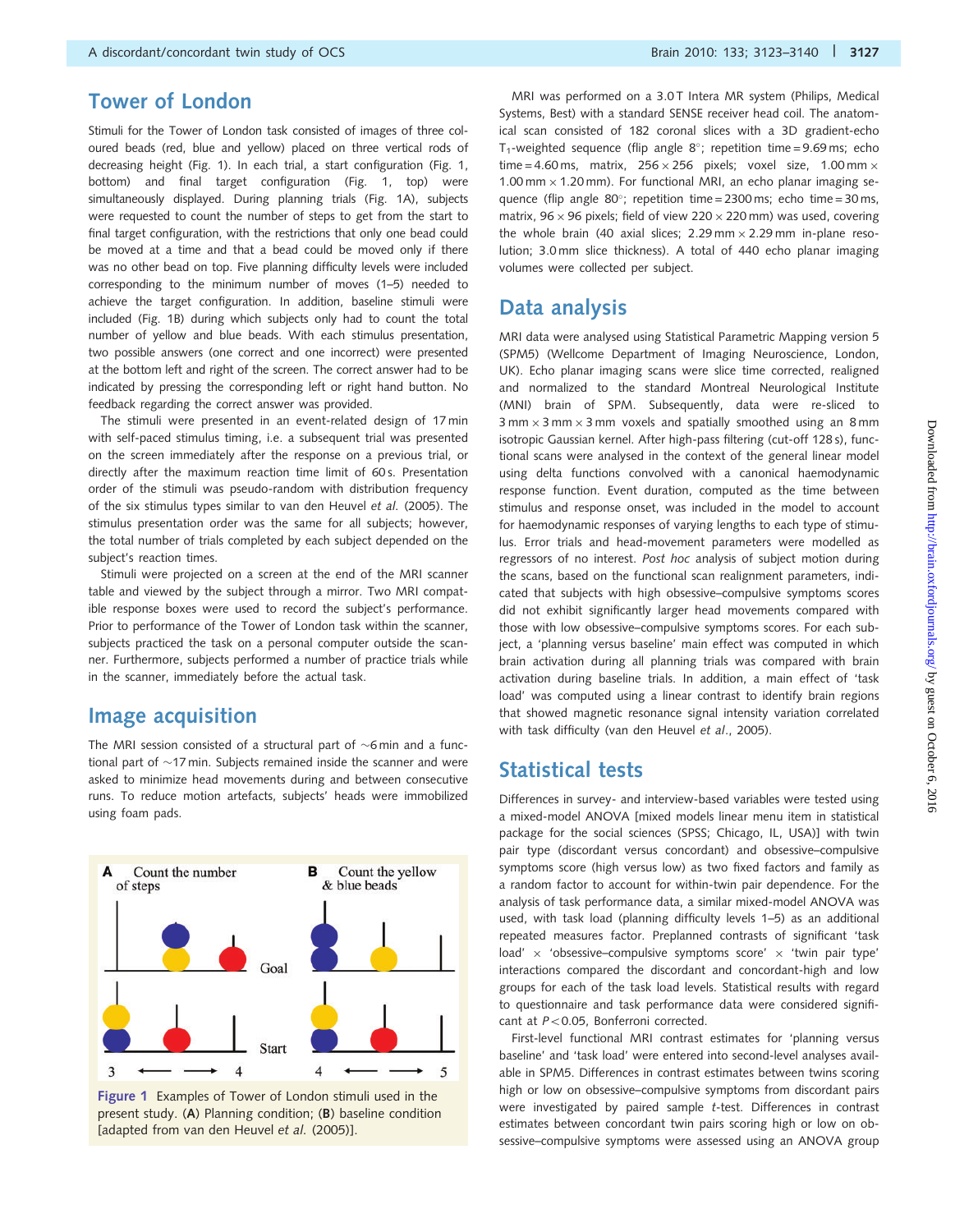Stimuli for the Tower of London task consisted of images of three coloured beads (red, blue and yellow) placed on three vertical rods of decreasing height (Fig. 1). In each trial, a start configuration (Fig. 1, bottom) and final target configuration (Fig. 1, top) were simultaneously displayed. During planning trials (Fig. 1A), subjects were requested to count the number of steps to get from the start to final target configuration, with the restrictions that only one bead could be moved at a time and that a bead could be moved only if there was no other bead on top. Five planning difficulty levels were included corresponding to the minimum number of moves (1–5) needed to achieve the target configuration. In addition, baseline stimuli were included (Fig. 1B) during which subjects only had to count the total number of yellow and blue beads. With each stimulus presentation, two possible answers (one correct and one incorrect) were presented at the bottom left and right of the screen. The correct answer had to be indicated by pressing the corresponding left or right hand button. No feedback regarding the correct answer was provided.

The stimuli were presented in an event-related design of 17 min with self-paced stimulus timing, i.e. a subsequent trial was presented on the screen immediately after the response on a previous trial, or directly after the maximum reaction time limit of 60 s. Presentation order of the stimuli was pseudo-random with distribution frequency of the six stimulus types similar to van den Heuvel et al. (2005). The stimulus presentation order was the same for all subjects; however, the total number of trials completed by each subject depended on the subject's reaction times.

Stimuli were projected on a screen at the end of the MRI scanner table and viewed by the subject through a mirror. Two MRI compatible response boxes were used to record the subject's performance. Prior to performance of the Tower of London task within the scanner, subjects practiced the task on a personal computer outside the scanner. Furthermore, subjects performed a number of practice trials while in the scanner, immediately before the actual task.

#### Image acquisition

The MRI session consisted of a structural part of  $\sim$ 6 min and a functional part of  $\sim$ 17 min. Subjects remained inside the scanner and were asked to minimize head movements during and between consecutive runs. To reduce motion artefacts, subjects' heads were immobilized using foam pads.



Figure 1 Examples of Tower of London stimuli used in the present study. (A) Planning condition; (B) baseline condition [adapted from van den Heuvel et al. (2005)].

MRI was performed on a 3.0 T Intera MR system (Philips, Medical Systems, Best) with a standard SENSE receiver head coil. The anatomical scan consisted of 182 coronal slices with a 3D gradient-echo T<sub>1</sub>-weighted sequence (flip angle  $8^\circ$ ; repetition time = 9.69 ms; echo time = 4.60 ms, matrix,  $256 \times 256$  pixels; voxel size, 1.00 mm  $\times$ 1.00 mm  $\times$  1.20 mm). For functional MRI, an echo planar imaging sequence (flip angle 80°; repetition time = 2300 ms; echo time = 30 ms, matrix, 96  $\times$  96 pixels; field of view 220  $\times$  220 mm) was used, covering the whole brain (40 axial slices;  $2.29 \text{ mm} \times 2.29 \text{ mm}$  in-plane resolution; 3.0 mm slice thickness). A total of 440 echo planar imaging volumes were collected per subject.

### Data analysis

MRI data were analysed using Statistical Parametric Mapping version 5 (SPM5) (Wellcome Department of Imaging Neuroscience, London, UK). Echo planar imaging scans were slice time corrected, realigned and normalized to the standard Montreal Neurological Institute (MNI) brain of SPM. Subsequently, data were re-sliced to  $3$  mm  $\times$  3 mm  $\times$  3 mm voxels and spatially smoothed using an 8 mm isotropic Gaussian kernel. After high-pass filtering (cut-off 128 s), functional scans were analysed in the context of the general linear model using delta functions convolved with a canonical haemodynamic response function. Event duration, computed as the time between stimulus and response onset, was included in the model to account for haemodynamic responses of varying lengths to each type of stimulus. Error trials and head-movement parameters were modelled as regressors of no interest. Post hoc analysis of subject motion during the scans, based on the functional scan realignment parameters, indicated that subjects with high obsessive–compulsive symptoms scores did not exhibit significantly larger head movements compared with those with low obsessive–compulsive symptoms scores. For each subject, a 'planning versus baseline' main effect was computed in which brain activation during all planning trials was compared with brain activation during baseline trials. In addition, a main effect of 'task load' was computed using a linear contrast to identify brain regions that showed magnetic resonance signal intensity variation correlated with task difficulty (van den Heuvel et al., 2005).

### Statistical tests

Differences in survey- and interview-based variables were tested using a mixed-model ANOVA [mixed models linear menu item in statistical package for the social sciences (SPSS; Chicago, IL, USA)] with twin pair type (discordant versus concordant) and obsessive–compulsive symptoms score (high versus low) as two fixed factors and family as a random factor to account for within-twin pair dependence. For the analysis of task performance data, a similar mixed-model ANOVA was used, with task load (planning difficulty levels 1–5) as an additional repeated measures factor. Preplanned contrasts of significant 'task load'  $\times$  'obsessive–compulsive symptoms score'  $\times$  'twin pair type' interactions compared the discordant and concordant-high and low groups for each of the task load levels. Statistical results with regard to questionnaire and task performance data were considered significant at  $P < 0.05$ , Bonferroni corrected.

First-level functional MRI contrast estimates for 'planning versus baseline' and 'task load' were entered into second-level analyses available in SPM5. Differences in contrast estimates between twins scoring high or low on obsessive–compulsive symptoms from discordant pairs were investigated by paired sample t-test. Differences in contrast estimates between concordant twin pairs scoring high or low on obsessive–compulsive symptoms were assessed using an ANOVA group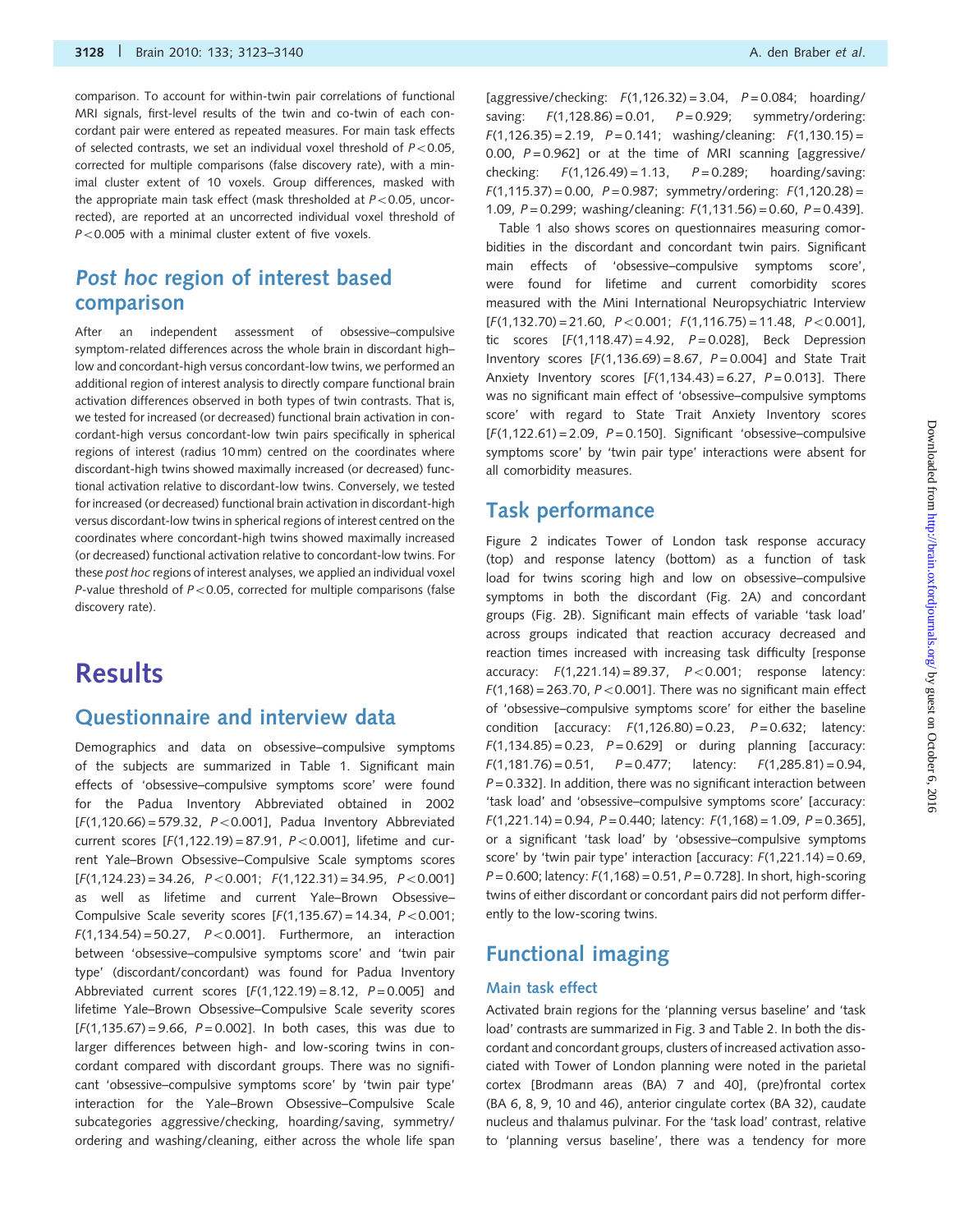comparison. To account for within-twin pair correlations of functional MRI signals, first-level results of the twin and co-twin of each concordant pair were entered as repeated measures. For main task effects of selected contrasts, we set an individual voxel threshold of  $P < 0.05$ . corrected for multiple comparisons (false discovery rate), with a minimal cluster extent of 10 voxels. Group differences, masked with the appropriate main task effect (mask thresholded at  $P<0.05$ , uncorrected), are reported at an uncorrected individual voxel threshold of  $P < 0.005$  with a minimal cluster extent of five voxels.

## Post hoc region of interest based comparison

After an independent assessment of obsessive–compulsive symptom-related differences across the whole brain in discordant high– low and concordant-high versus concordant-low twins, we performed an additional region of interest analysis to directly compare functional brain activation differences observed in both types of twin contrasts. That is, we tested for increased (or decreased) functional brain activation in concordant-high versus concordant-low twin pairs specifically in spherical regions of interest (radius 10 mm) centred on the coordinates where discordant-high twins showed maximally increased (or decreased) functional activation relative to discordant-low twins. Conversely, we tested for increased (or decreased) functional brain activation in discordant-high versus discordant-low twins in spherical regions of interest centred on the coordinates where concordant-high twins showed maximally increased (or decreased) functional activation relative to concordant-low twins. For these post hoc regions of interest analyses, we applied an individual voxel P-value threshold of  $P<0.05$ , corrected for multiple comparisons (false discovery rate).

## **Results**

### Questionnaire and interview data

Demographics and data on obsessive–compulsive symptoms of the subjects are summarized in Table 1. Significant main effects of 'obsessive–compulsive symptoms score' were found for the Padua Inventory Abbreviated obtained in 2002  $[F(1, 120.66) = 579.32, P < 0.001]$ , Padua Inventory Abbreviated current scores  $[F(1,122.19) = 87.91, P < 0.001]$ , lifetime and current Yale–Brown Obsessive–Compulsive Scale symptoms scores  $[F(1,124.23) = 34.26, P < 0.001; F(1,122.31) = 34.95, P < 0.001]$ as well as lifetime and current Yale–Brown Obsessive– Compulsive Scale severity scores  $[F(1,135.67) = 14.34, P < 0.001;$  $F(1,134.54) = 50.27$ ,  $P < 0.001$ ]. Furthermore, an interaction between 'obsessive–compulsive symptoms score' and 'twin pair type' (discordant/concordant) was found for Padua Inventory Abbreviated current scores  $[F(1,122.19) = 8.12, P = 0.005]$  and lifetime Yale–Brown Obsessive–Compulsive Scale severity scores  $[F(1, 135.67) = 9.66, P = 0.002]$ . In both cases, this was due to larger differences between high- and low-scoring twins in concordant compared with discordant groups. There was no significant 'obsessive–compulsive symptoms score' by 'twin pair type' interaction for the Yale–Brown Obsessive–Compulsive Scale subcategories aggressive/checking, hoarding/saving, symmetry/ ordering and washing/cleaning, either across the whole life span

[aggressive/checking:  $F(1,126.32) = 3.04$ ,  $P = 0.084$ ; hoarding/ saving:  $F(1,128.86) = 0.01$ ,  $P = 0.929$ ; symmetry/ordering:  $F(1,126.35) = 2.19$ ,  $P = 0.141$ ; washing/cleaning:  $F(1,130.15) =$ 0.00,  $P = 0.962$ ] or at the time of MRI scanning [aggressive/ checking:  $F(1,126.49) = 1.13$ ,  $P = 0.289$ ; hoarding/saving:  $F(1,115.37) = 0.00$ ,  $P = 0.987$ ; symmetry/ordering:  $F(1,120.28) =$ 1.09,  $P = 0.299$ ; washing/cleaning:  $F(1,131.56) = 0.60$ ,  $P = 0.439$ ].

Table 1 also shows scores on questionnaires measuring comorbidities in the discordant and concordant twin pairs. Significant main effects of 'obsessive–compulsive symptoms score', were found for lifetime and current comorbidity scores measured with the Mini International Neuropsychiatric Interview  $[F(1,132.70) = 21.60, P < 0.001; F(1,116.75) = 11.48, P < 0.001$ tic scores  $[F(1, 118.47) = 4.92, P = 0.028]$ , Beck Depression Inventory scores  $[F(1,136.69) = 8.67, P = 0.004]$  and State Trait Anxiety Inventory scores  $[F(1,134.43) = 6.27, P = 0.013]$ . There was no significant main effect of 'obsessive–compulsive symptoms score' with regard to State Trait Anxiety Inventory scores  $[F(1,122.61) = 2.09, P = 0.150]$ . Significant 'obsessive–compulsive symptoms score' by 'twin pair type' interactions were absent for all comorbidity measures.

### Task performance

Figure 2 indicates Tower of London task response accuracy (top) and response latency (bottom) as a function of task load for twins scoring high and low on obsessive–compulsive symptoms in both the discordant (Fig. 2A) and concordant groups (Fig. 2B). Significant main effects of variable 'task load' across groups indicated that reaction accuracy decreased and reaction times increased with increasing task difficulty [response accuracy:  $F(1,221.14) = 89.37$ ,  $P < 0.001$ ; response latency:  $F(1,168) = 263.70$ ,  $P < 0.001$ ]. There was no significant main effect of 'obsessive–compulsive symptoms score' for either the baseline condition [accuracy:  $F(1,126.80) = 0.23$ ,  $P = 0.632$ ; latency:  $F(1,134.85) = 0.23$ ,  $P = 0.629$ ] or during planning [accuracy:  $F(1,181.76) = 0.51$ ,  $P = 0.477$ ; latency:  $F(1,285.81) = 0.94$ ,  $P = 0.332$ ]. In addition, there was no significant interaction between 'task load' and 'obsessive–compulsive symptoms score' [accuracy:  $F(1,221.14) = 0.94$ ,  $P = 0.440$ ; latency:  $F(1,168) = 1.09$ ,  $P = 0.365$ ], or a significant 'task load' by 'obsessive–compulsive symptoms score' by 'twin pair type' interaction [accuracy:  $F(1,221.14) = 0.69$ ,  $P = 0.600$ ; latency:  $F(1,168) = 0.51$ ,  $P = 0.728$ ]. In short, high-scoring twins of either discordant or concordant pairs did not perform differently to the low-scoring twins.

## Functional imaging

#### Main task effect

Activated brain regions for the 'planning versus baseline' and 'task load' contrasts are summarized in Fig. 3 and Table 2. In both the discordant and concordant groups, clusters of increased activation associated with Tower of London planning were noted in the parietal cortex [Brodmann areas (BA) 7 and 40], (pre)frontal cortex (BA 6, 8, 9, 10 and 46), anterior cingulate cortex (BA 32), caudate nucleus and thalamus pulvinar. For the 'task load' contrast, relative to 'planning versus baseline', there was a tendency for more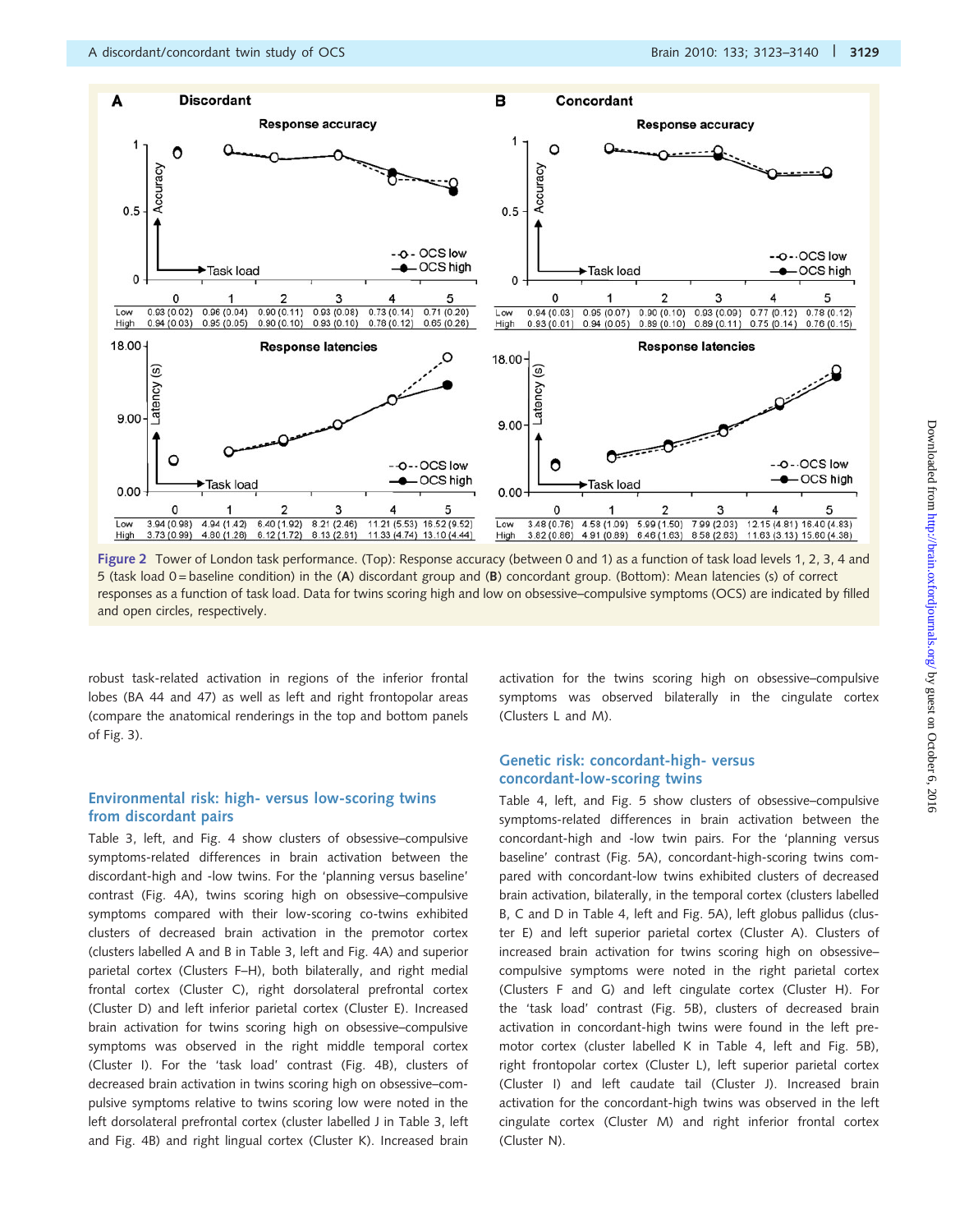

Figure 2 Tower of London task performance. (Top): Response accuracy (between 0 and 1) as a function of task load levels 1, 2, 3, 4 and 5 (task load 0 = baseline condition) in the (A) discordant group and (B) concordant group. (Bottom): Mean latencies (s) of correct responses as a function of task load. Data for twins scoring high and low on obsessive–compulsive symptoms (OCS) are indicated by filled and open circles, respectively.

robust task-related activation in regions of the inferior frontal lobes (BA 44 and 47) as well as left and right frontopolar areas (compare the anatomical renderings in the top and bottom panels of Fig. 3).

#### Environmental risk: high- versus low-scoring twins from discordant pairs

Table 3, left, and Fig. 4 show clusters of obsessive–compulsive symptoms-related differences in brain activation between the discordant-high and -low twins. For the 'planning versus baseline' contrast (Fig. 4A), twins scoring high on obsessive–compulsive symptoms compared with their low-scoring co-twins exhibited clusters of decreased brain activation in the premotor cortex (clusters labelled A and B in Table 3, left and Fig. 4A) and superior parietal cortex (Clusters F–H), both bilaterally, and right medial frontal cortex (Cluster C), right dorsolateral prefrontal cortex (Cluster D) and left inferior parietal cortex (Cluster E). Increased brain activation for twins scoring high on obsessive–compulsive symptoms was observed in the right middle temporal cortex (Cluster I). For the 'task load' contrast (Fig. 4B), clusters of decreased brain activation in twins scoring high on obsessive–compulsive symptoms relative to twins scoring low were noted in the left dorsolateral prefrontal cortex (cluster labelled J in Table 3, left and Fig. 4B) and right lingual cortex (Cluster K). Increased brain activation for the twins scoring high on obsessive–compulsive symptoms was observed bilaterally in the cingulate cortex (Clusters L and M).

#### Genetic risk: concordant-high- versus concordant-low-scoring twins

Table 4, left, and Fig. 5 show clusters of obsessive–compulsive symptoms-related differences in brain activation between the concordant-high and -low twin pairs. For the 'planning versus baseline' contrast (Fig. 5A), concordant-high-scoring twins compared with concordant-low twins exhibited clusters of decreased brain activation, bilaterally, in the temporal cortex (clusters labelled B, C and D in Table 4, left and Fig. 5A), left globus pallidus (cluster E) and left superior parietal cortex (Cluster A). Clusters of increased brain activation for twins scoring high on obsessive– compulsive symptoms were noted in the right parietal cortex (Clusters F and G) and left cingulate cortex (Cluster H). For the 'task load' contrast (Fig. 5B), clusters of decreased brain activation in concordant-high twins were found in the left premotor cortex (cluster labelled K in Table 4, left and Fig. 5B), right frontopolar cortex (Cluster L), left superior parietal cortex (Cluster I) and left caudate tail (Cluster J). Increased brain activation for the concordant-high twins was observed in the left cingulate cortex (Cluster M) and right inferior frontal cortex (Cluster N).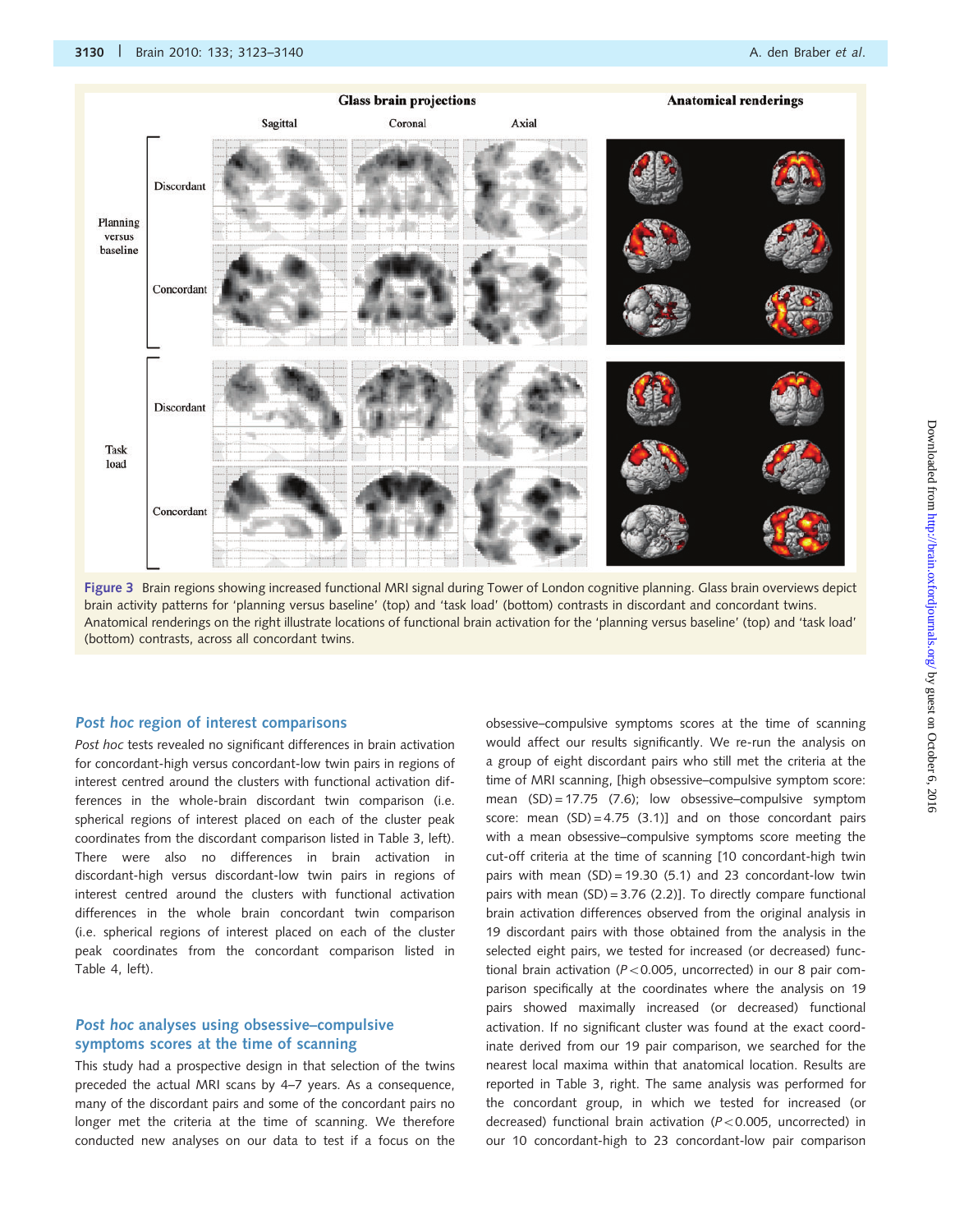

Figure 3 Brain regions showing increased functional MRI signal during Tower of London cognitive planning. Glass brain overviews depict brain activity patterns for 'planning versus baseline' (top) and 'task load' (bottom) contrasts in discordant and concordant twins. Anatomical renderings on the right illustrate locations of functional brain activation for the 'planning versus baseline' (top) and 'task load' (bottom) contrasts, across all concordant twins.

#### Post hoc region of interest comparisons

Post hoc tests revealed no significant differences in brain activation for concordant-high versus concordant-low twin pairs in regions of interest centred around the clusters with functional activation differences in the whole-brain discordant twin comparison (i.e. spherical regions of interest placed on each of the cluster peak coordinates from the discordant comparison listed in Table 3, left). There were also no differences in brain activation in discordant-high versus discordant-low twin pairs in regions of interest centred around the clusters with functional activation differences in the whole brain concordant twin comparison (i.e. spherical regions of interest placed on each of the cluster peak coordinates from the concordant comparison listed in Table 4, left).

#### Post hoc analyses using obsessive–compulsive symptoms scores at the time of scanning

This study had a prospective design in that selection of the twins preceded the actual MRI scans by 4–7 years. As a consequence, many of the discordant pairs and some of the concordant pairs no longer met the criteria at the time of scanning. We therefore conducted new analyses on our data to test if a focus on the obsessive–compulsive symptoms scores at the time of scanning would affect our results significantly. We re-run the analysis on a group of eight discordant pairs who still met the criteria at the time of MRI scanning, [high obsessive–compulsive symptom score: mean (SD) = 17.75 (7.6); low obsessive–compulsive symptom score: mean  $(SD) = 4.75$   $(3.1)$ ] and on those concordant pairs with a mean obsessive–compulsive symptoms score meeting the cut-off criteria at the time of scanning [10 concordant-high twin pairs with mean (SD) = 19.30 (5.1) and 23 concordant-low twin pairs with mean  $(SD) = 3.76$  (2.2)]. To directly compare functional brain activation differences observed from the original analysis in 19 discordant pairs with those obtained from the analysis in the selected eight pairs, we tested for increased (or decreased) functional brain activation ( $P < 0.005$ , uncorrected) in our 8 pair comparison specifically at the coordinates where the analysis on 19 pairs showed maximally increased (or decreased) functional activation. If no significant cluster was found at the exact coordinate derived from our 19 pair comparison, we searched for the nearest local maxima within that anatomical location. Results are reported in Table 3, right. The same analysis was performed for the concordant group, in which we tested for increased (or decreased) functional brain activation ( $P < 0.005$ , uncorrected) in our 10 concordant-high to 23 concordant-low pair comparison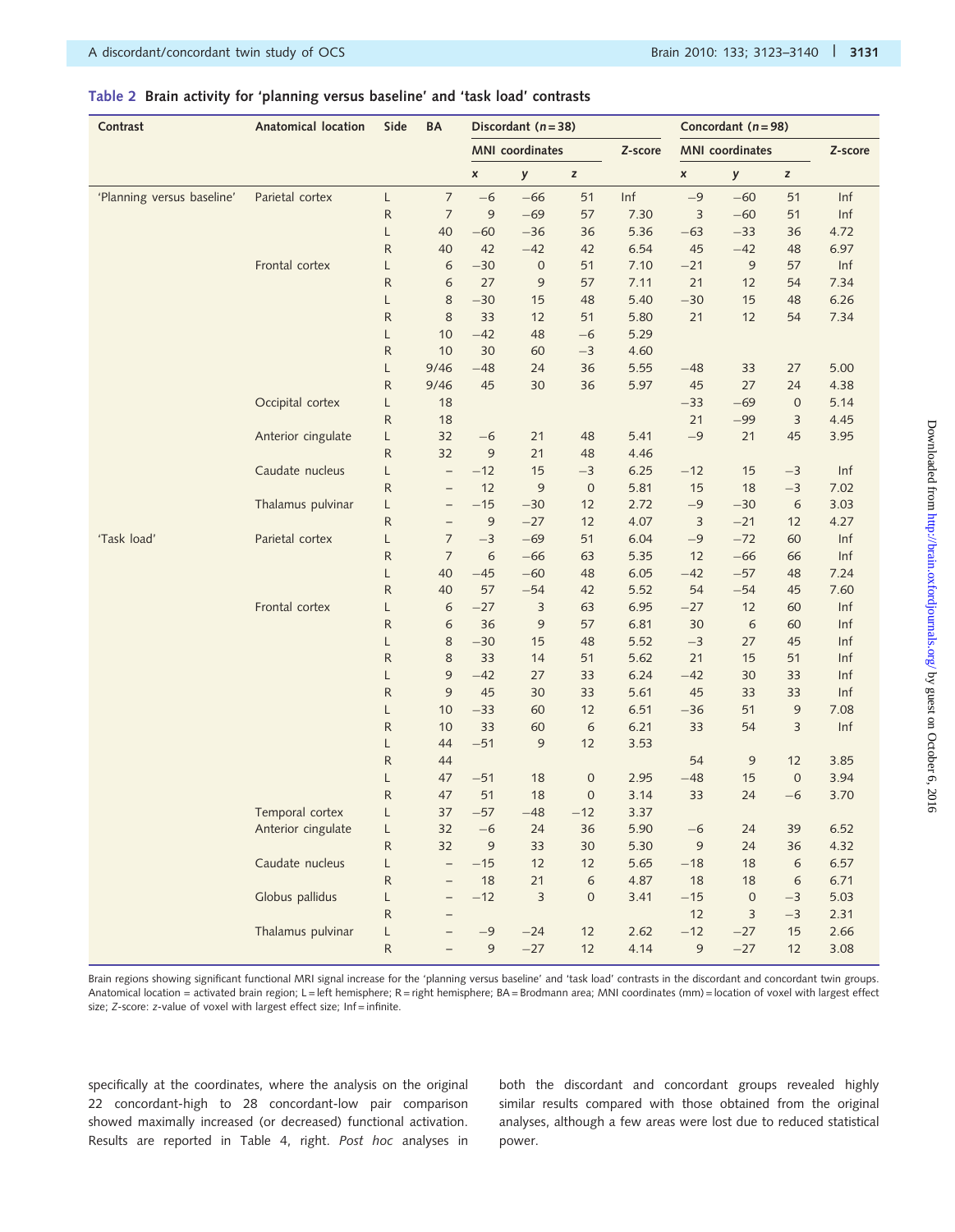#### Table 2 Brain activity for 'planning versus baseline' and 'task load' contrasts

| Contrast                   | Anatomical location | Side              | BA                       |                | Discordant $(n=38)$    |                  |         |                | Concordant ( $n = 98$ ) |                   |         |
|----------------------------|---------------------|-------------------|--------------------------|----------------|------------------------|------------------|---------|----------------|-------------------------|-------------------|---------|
|                            |                     |                   |                          |                | <b>MNI</b> coordinates |                  | Z-score |                | <b>MNI</b> coordinates  |                   | Z-score |
|                            |                     |                   |                          | $\pmb{\times}$ | y                      | z                |         | $\pmb{\times}$ | у                       | $\mathsf z$       |         |
| 'Planning versus baseline' | Parietal cortex     | L                 | $\overline{\phantom{a}}$ | $-6$           | $-66$                  | 51               | Inf     | $-9$           | $-60$                   | 51                | Inf     |
|                            |                     | ${\sf R}$         | $\overline{7}$           | $\mathfrak{g}$ | $-69$                  | 57               | 7.30    | $\mathsf 3$    | $-60$                   | 51                | Inf     |
|                            |                     | L                 | 40                       | $-60$          | $-36$                  | 36               | 5.36    | $-63$          | $-33$                   | 36                | 4.72    |
|                            |                     | ${\sf R}$         | 40                       | 42             | $-42$                  | 42               | 6.54    | 45             | $-42$                   | 48                | 6.97    |
|                            | Frontal cortex      | L                 | 6                        | $-30$          | $\boldsymbol{0}$       | 51               | 7.10    | $-21$          | 9                       | 57                | Inf     |
|                            |                     | ${\sf R}$         | 6                        | 27             | 9                      | 57               | 7.11    | 21             | 12                      | 54                | 7.34    |
|                            |                     | L                 | 8                        | $-30$          | 15                     | 48               | 5.40    | $-30$          | 15                      | 48                | 6.26    |
|                            |                     | ${\sf R}$         | 8                        | 33             | 12                     | 51               | 5.80    | 21             | 12                      | 54                | 7.34    |
|                            |                     | L                 | 10                       | $-42$          | 48                     | $-6$             | 5.29    |                |                         |                   |         |
|                            |                     | $\mathsf R$       | 10                       | 30             | 60                     | $-3$             | 4.60    |                |                         |                   |         |
|                            |                     | L                 | 9/46                     | $-48$          | 24                     | 36               | 5.55    | $-48$          | 33                      | 27                | 5.00    |
|                            |                     | ${\sf R}$         | 9/46                     | 45             | 30                     | 36               | 5.97    | 45             | 27                      | 24                | 4.38    |
|                            | Occipital cortex    | L                 | 18                       |                |                        |                  |         | $-33$          | $-69$                   | $\boldsymbol{0}$  | 5.14    |
|                            |                     | ${\sf R}$         | 18                       |                |                        |                  |         | 21             | $-99$                   | 3                 | 4.45    |
|                            | Anterior cingulate  | L                 | 32                       | $-6$           | 21                     | 48               | 5.41    | $-9$           | 21                      | 45                | 3.95    |
|                            |                     | ${\sf R}$         | 32                       | 9              | 21                     | 48               | 4.46    |                |                         |                   |         |
|                            | Caudate nucleus     | L                 | $\overline{\phantom{0}}$ | $-12$          | 15                     | $-3$             | 6.25    | $-12$          | 15                      | $-3$              | Inf     |
|                            |                     | ${\sf R}$         | $\qquad \qquad -$        | 12             | 9                      | $\boldsymbol{0}$ | 5.81    | 15             | 18                      | $-3$              | 7.02    |
|                            | Thalamus pulvinar   | L                 | $\qquad \qquad -$        | $-15$          | $-30$                  | 12               | 2.72    | $-9$           | $-30$                   | 6                 | 3.03    |
|                            |                     | ${\sf R}$         | $\overline{\phantom{m}}$ | $\overline{9}$ | $-27$                  | 12               | 4.07    | 3              | $-21$                   | 12                | 4.27    |
| 'Task load'                | Parietal cortex     | L                 | $\overline{7}$           | $-3$           | $-69$                  | 51               | 6.04    | $-9$           | $-72$                   | 60                | Inf     |
|                            |                     | $\mathsf R$       | $\overline{7}$           | 6              | $-66$                  | 63               | 5.35    | 12             | $-66$                   | 66                | Inf     |
|                            |                     | L                 | 40                       | $-45$          | $-60$                  | 48               | 6.05    | $-42$          | $-57$                   | 48                | 7.24    |
|                            |                     | ${\sf R}$         | 40                       | 57             | $-54$                  | 42               | 5.52    | 54             | $-54$                   | 45                | 7.60    |
|                            | Frontal cortex      | L                 | 6                        | $-27$          | 3                      | 63               | 6.95    | $-27$          | 12                      | 60                | Inf     |
|                            |                     | ${\sf R}$         | 6                        | 36             | 9                      | 57               | 6.81    | 30             | 6                       | 60                | Inf     |
|                            |                     | L                 | 8                        | $-30$          | 15                     | 48               | 5.52    | $-3$           | 27                      | 45                | Inf     |
|                            |                     | ${\sf R}$         | 8                        | 33             | 14                     | 51               | 5.62    | 21             | 15                      | 51                | Inf     |
|                            |                     | L                 | 9                        | $-42$          | 27                     | 33               | 6.24    | $-42$          | 30                      | 33                | Inf     |
|                            |                     | ${\sf R}$         | 9                        | 45             | 30                     | 33               | 5.61    | 45             | 33                      | 33                | Inf     |
|                            |                     | L                 | 10                       | $-33$          | 60                     | 12               | 6.51    | $-36$          | 51                      | 9                 | 7.08    |
|                            |                     | ${\sf R}$         | 10<br>44                 | 33             | 60                     | 6                | 6.21    | 33             | 54                      | 3                 | Inf     |
|                            |                     | L<br>$\mathsf{R}$ | 44                       | $-51$          | 9                      | 12               | 3.53    | 54             |                         |                   | 3.85    |
|                            |                     | L                 | 47                       | $-51$          | 18                     | $\boldsymbol{0}$ | 2.95    | $-48$          | 9<br>15                 | 12<br>$\mathbf 0$ | 3.94    |
|                            |                     | ${\sf R}$         | 47                       | 51             | 18                     | $\mathbf 0$      | 3.14    | 33             | 24                      | $-6$              | 3.70    |
|                            | Temporal cortex     |                   | 37                       | $-57$          | $-48$                  | $-12$            | 3.37    |                |                         |                   |         |
|                            | Anterior cingulate  | L                 | 32                       | $-6$           | 24                     | 36               | 5.90    | $-6$           | 24                      | 39                | 6.52    |
|                            |                     | L<br>${\sf R}$    | 32                       | $\overline{9}$ | 33                     | 30               | 5.30    | $\overline{9}$ | 24                      | 36                | 4.32    |
|                            | Caudate nucleus     | L                 | $\overline{\phantom{0}}$ | $-15$          | 12                     | 12               | 5.65    | $-18$          | 18                      | 6                 | 6.57    |
|                            |                     | ${\sf R}$         | $\overline{\phantom{0}}$ | 18             | 21                     | $\epsilon$       | 4.87    | 18             | 18                      | $\epsilon$        | 6.71    |
|                            | Globus pallidus     | L                 | $\qquad \qquad -$        | $-12$          | $\mathsf 3$            | $\mathbf 0$      | 3.41    | $-15$          | $\boldsymbol{0}$        | $-3$              | 5.03    |
|                            |                     | ${\sf R}$         |                          |                |                        |                  |         | 12             | 3                       | $-3$              | 2.31    |
|                            | Thalamus pulvinar   | L                 |                          | $-9$           | $-24$                  | 12               | 2.62    | $-12$          | $-27$                   | 15                | 2.66    |
|                            |                     | ${\sf R}$         |                          | $\mathsf 9$    | $-27$                  | 12               | 4.14    | 9              | $-27$                   | 12                | 3.08    |

Brain regions showing significant functional MRI signal increase for the 'planning versus baseline' and 'task load' contrasts in the discordant and concordant twin groups. Anatomical location = activated brain region; L = left hemisphere; R = right hemisphere; BA = Brodmann area; MNI coordinates (mm) = location of voxel with largest effect size; Z-score: z-value of voxel with largest effect size; Inf=infinite.

specifically at the coordinates, where the analysis on the original 22 concordant-high to 28 concordant-low pair comparison showed maximally increased (or decreased) functional activation. Results are reported in Table 4, right. Post hoc analyses in both the discordant and concordant groups revealed highly similar results compared with those obtained from the original analyses, although a few areas were lost due to reduced statistical power.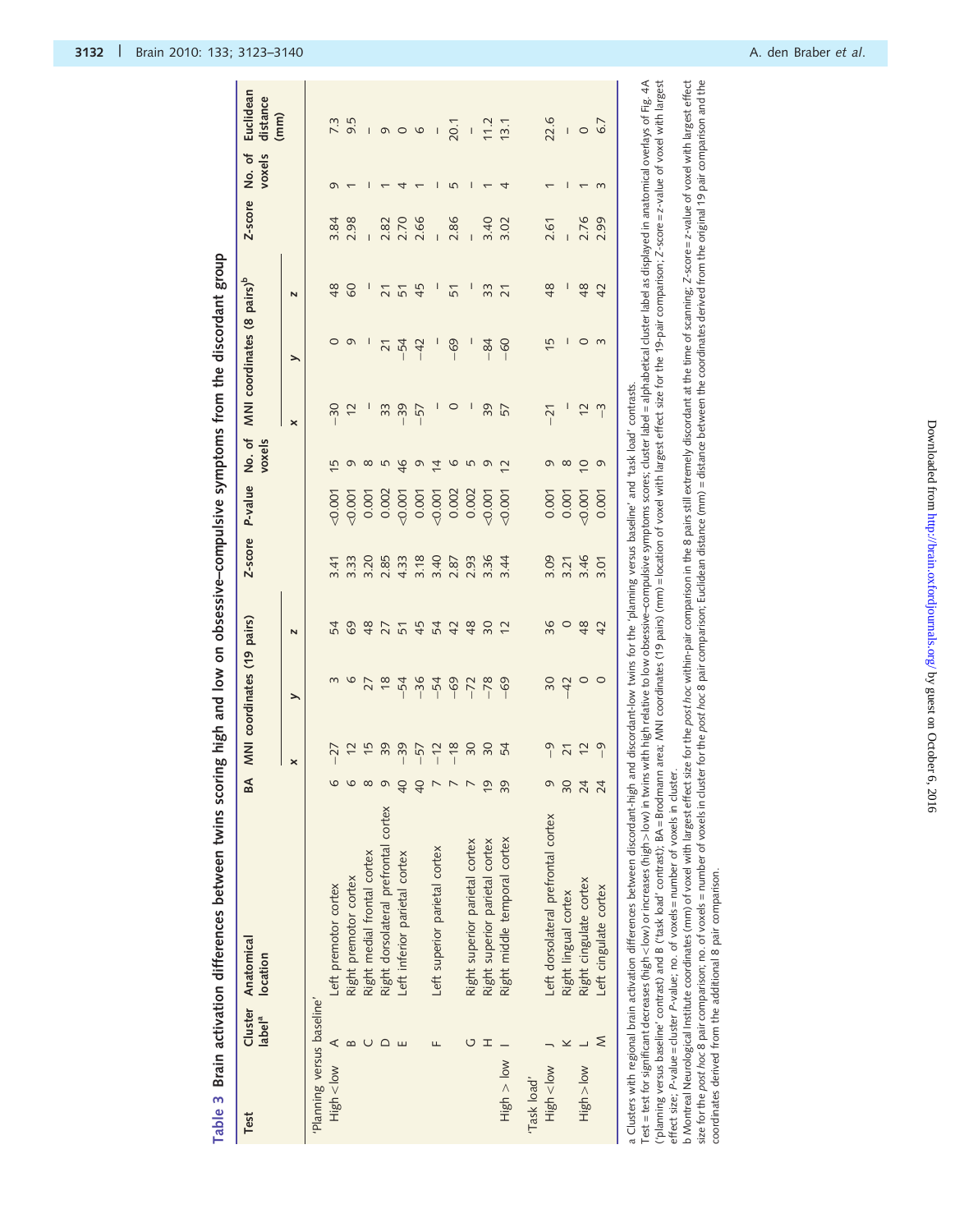| p<br>D<br>i<br>San A<br>$\frac{1}{2}$<br>-<br>}<br>i<br>i<br>֖֖֖֖֖֧ׅ֖֖֧֪֪ׅ֪֪֪ׅ֚֚֚֚֚֚֚֚֚֚֚֚֚֚֚֚֚֚֚֚֚֚֚֚֚֚֚֚֚֚֚֬֝֝֓֞֓֞֓֬         |
|--------------------------------------------------------------------------------------------------------------------------------|
| $\sim$<br>;<br>$\vdots$                                                                                                        |
| high and low on ol<br>)<br>)                                                                                                   |
| ֧ׅׅ֧֧֧֧֧֧֧֪ׅ֧֧֪ׅ֧֧֪ׅ֧֪֪֪֪֪֪֪֪֪֪ׅ֧֧֪ׅ֧֧֚֚֚֚֚֚֚֚֚֚֚֚֚֚֚֚֚֚֚֚֚֚֚֚֚֬֡֡֡֡֬֝֬֓֡֬֓֓֝֓֓֓֝֬֝֬֝֬֓֝֬֝֬֝֬֝<br>-<br>-<br>-<br>-<br>een<br>e |
|                                                                                                                                |
|                                                                                                                                |
|                                                                                                                                |
|                                                                                                                                |

| label <sup>a</sup>         | Cluster Anatomical<br>location       | BA              | MNI coordinates (19 pairs) |              |                               | Z-score                              | P-value  | No.of<br>voxels |                       |                 | MNI coordinates (8 pairs) <sup>b</sup> | Z-score | voxels<br>No. of | Euclidean<br>distance    |
|----------------------------|--------------------------------------|-----------------|----------------------------|--------------|-------------------------------|--------------------------------------|----------|-----------------|-----------------------|-----------------|----------------------------------------|---------|------------------|--------------------------|
|                            |                                      |                 | ×                          | ⋋            | N                             |                                      |          |                 | $\boldsymbol{\times}$ | ⋋               | N                                      |         |                  | (mm)                     |
| 'Planning versus baseline' |                                      |                 |                            |              |                               |                                      |          |                 |                       |                 |                                        |         |                  |                          |
|                            | Left premotor cortex                 |                 |                            |              |                               | 3.41                                 | $-0.001$ | 15              | $-30$                 | $\circ$         | 48                                     | 3.84    | G                |                          |
|                            | Right premotor cortex                |                 | $-27$<br>$+2$<br>$+5$      | 678          |                               | 3.33                                 | $-0.001$ | $\sigma$        | $\overline{c}$        | $\sigma$        | $\delta$                               | 2.98    |                  | 7.3<br>9.5               |
|                            | Right medial frontal cortex          |                 |                            |              |                               | 3.20                                 | 0.001    | $\infty$        |                       | I               |                                        |         |                  | I                        |
|                            | Right dorsolateral prefrontal cortex |                 |                            |              |                               | 2.85                                 | 0.002    | 5               | 33                    | $\overline{21}$ |                                        | 2.82    |                  |                          |
|                            | Left inferior parietal cortex        | $\Theta$        |                            | $-54$        |                               |                                      | $-0.001$ | $\frac{9}{5}$   | $-39$                 | $-54$           | $\frac{2}{5}$                          | 2.70    |                  | 000                      |
|                            |                                      | $\theta$        | 399772                     | $-36$        |                               |                                      | 0.001    | $\sigma$        | $-57$                 | $-42$           | 45                                     | 2.66    |                  |                          |
|                            | Left superior parietal cortex        |                 |                            | $-54$        |                               |                                      | $-0.001$ | $\overline{4}$  | $\mathsf{I}$          | ļ               | I                                      |         | I                | $\overline{\phantom{a}}$ |
|                            |                                      |                 |                            | $-69$        | 5 6 8 7 5 9 5 6 9 8 9         | $4.33$<br>$3.49$<br>$3.87$<br>$2.87$ | 0.002    | 0               | $\circ$               | $-69$           | 51                                     | 2.86    | 5                | 20.1                     |
|                            | Right superior parietal cortex       |                 | $\frac{8}{20}$             | $-72$        |                               | 2.93                                 | 0.002    | 5               | I                     | I               | I                                      |         | I                | $\hat{\mathbf{I}}$       |
|                            | Right superior parietal cortex       | $\overline{6}$  |                            | $-78$        |                               | 3.36                                 | $-0.001$ | $\sigma$        | 39                    | $-84$           | 33                                     | 3.40    |                  | 11.2                     |
|                            | Right middle temporal cortex         | 39              | 54                         | $-69$        | $\tilde{c}$                   | 3.44                                 | $-0.001$ | $\overline{2}$  | 57                    | $-60$           | $\overline{21}$                        | 3.02    | 4                | 13.1                     |
|                            |                                      |                 |                            |              |                               |                                      |          |                 |                       |                 |                                        |         |                  |                          |
|                            | Left dorsolateral prefrontal cortex  |                 |                            |              |                               |                                      | 0.001    | G               | $-21$                 | 15              | 48                                     | 2.61    |                  | 22.6                     |
|                            | Right lingual cortex                 | 90              | 972                        | $rac{30}{4}$ | $\frac{8}{2}$ 0 $\frac{8}{2}$ | 8 5 4<br>8 5 4 6                     | 0.001    | $\infty$        |                       | I               | I                                      |         |                  | $\bar{\bar{1}}$          |
|                            | Right cingulate cortex               | $\overline{24}$ |                            | $\circ$      |                               |                                      | 0.001    | $\overline{C}$  | $\overline{c}$        | $\circ$         | $\frac{8}{4}$                          | 2.76    |                  | $\circ$                  |
|                            | Left cingulate cortex                | $\overline{24}$ | $\sqrt{2}$                 | $\circ$      | 42                            | 3.01                                 | 0.001    | G               | $\overline{1}$        | $\epsilon$      | 42                                     |         | $\infty$         | 6.7                      |

Test = test for significant decreases (high < low) or increases (high > low) in twins with high relative to low obsessive-compulsive symptoms scores; cluster label = alphabetical duster label as displayed in anatomical ove

Test = test for significant decreases (high > low) or increases (high > low) in twins with high relative to low obsessive-compulsive symptoms scores; cluster label = alphabetical custer label as displayed in anatomical ove ("planning versus baseline" contrast) and B ("task load" contrast); BA = Brodmann area; MNI coordinates (19 pairs) (mm) = location of voxel with largest effect size for the 19-pair comparison; Z-score = z-value of voxel wi effect size; P-value = cluster P-value; no. of voxels = number of voxels in cluster.

b Montreal Neurological Institute coordinates (mm) of voxel with largest effect size for the post *hoc* within-pair compatison in the 8 pairs still extremely discordant at the time of scanning; Z-score = z-value of voxel w b Montreal Neurological Institute coordinates (mm) of voxel with largest effect size for the post hoc within-pair comparison in the 8 pairs still extremely discordant at the time of scanning; Z-score=z-value of voxel with size for the post hoc 8 pair comparison; no. of voxels = number of voxels in cluster for the post hoc 8 pair comparison; Eudidean distance (mm) = distance between the coordinates derived from the original 19 pair compariso coordinates derived from the additional 8 pair comparison. coordinates derived from the additional 8 pair comparison.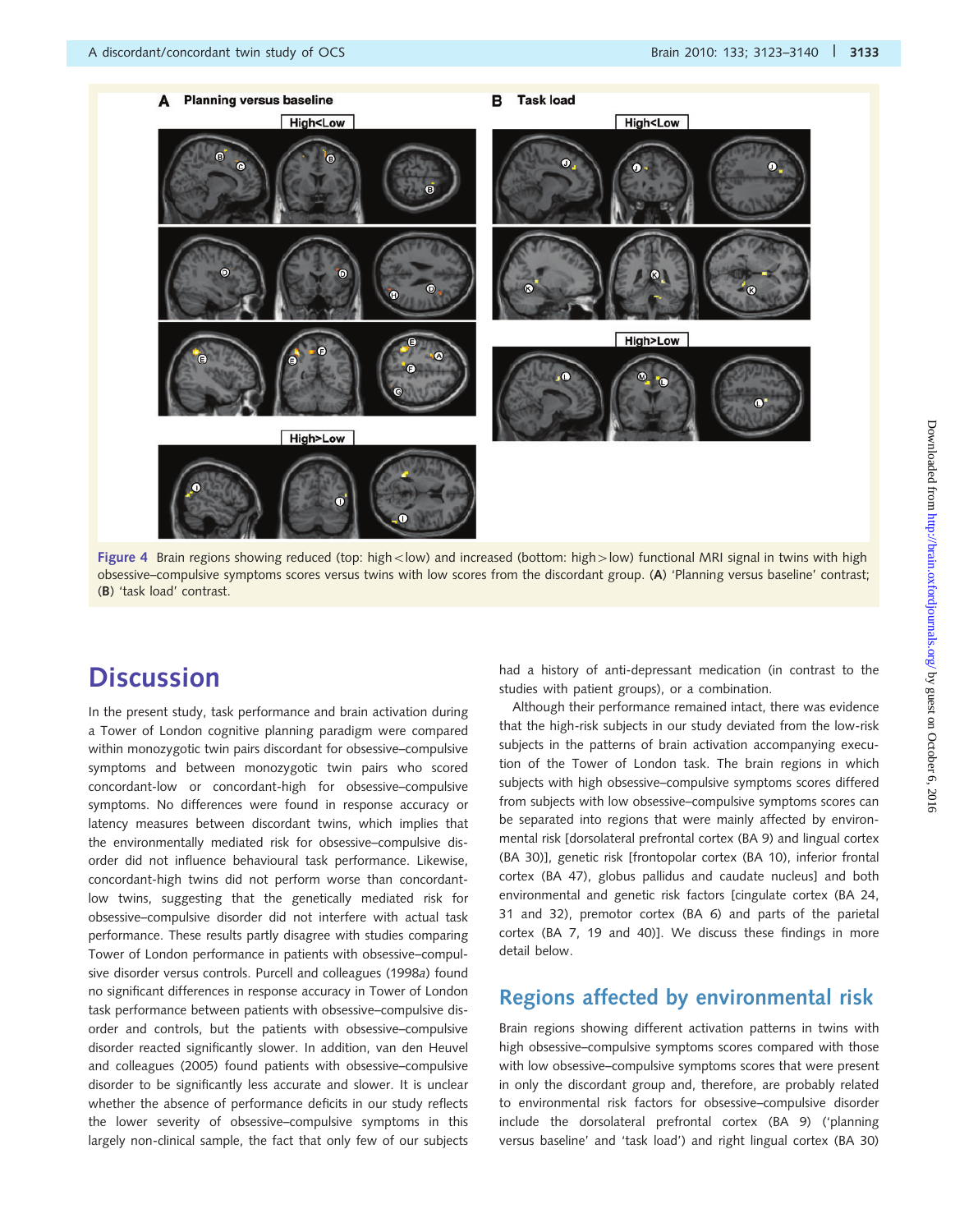

Figure 4 Brain regions showing reduced (top: high < low) and increased (bottom: high >low) functional MRI signal in twins with high obsessive–compulsive symptoms scores versus twins with low scores from the discordant group. (A) 'Planning versus baseline' contrast; (B) 'task load' contrast.

## **Discussion**

In the present study, task performance and brain activation during a Tower of London cognitive planning paradigm were compared within monozygotic twin pairs discordant for obsessive–compulsive symptoms and between monozygotic twin pairs who scored concordant-low or concordant-high for obsessive–compulsive symptoms. No differences were found in response accuracy or latency measures between discordant twins, which implies that the environmentally mediated risk for obsessive–compulsive disorder did not influence behavioural task performance. Likewise, concordant-high twins did not perform worse than concordantlow twins, suggesting that the genetically mediated risk for obsessive–compulsive disorder did not interfere with actual task performance. These results partly disagree with studies comparing Tower of London performance in patients with obsessive–compulsive disorder versus controls. Purcell and colleagues (1998a) found no significant differences in response accuracy in Tower of London task performance between patients with obsessive–compulsive disorder and controls, but the patients with obsessive–compulsive disorder reacted significantly slower. In addition, van den Heuvel and colleagues (2005) found patients with obsessive–compulsive disorder to be significantly less accurate and slower. It is unclear whether the absence of performance deficits in our study reflects the lower severity of obsessive–compulsive symptoms in this largely non-clinical sample, the fact that only few of our subjects had a history of anti-depressant medication (in contrast to the studies with patient groups), or a combination.

Although their performance remained intact, there was evidence that the high-risk subjects in our study deviated from the low-risk subjects in the patterns of brain activation accompanying execution of the Tower of London task. The brain regions in which subjects with high obsessive–compulsive symptoms scores differed from subjects with low obsessive–compulsive symptoms scores can be separated into regions that were mainly affected by environmental risk [dorsolateral prefrontal cortex (BA 9) and lingual cortex (BA 30)], genetic risk [frontopolar cortex (BA 10), inferior frontal cortex (BA 47), globus pallidus and caudate nucleus] and both environmental and genetic risk factors [cingulate cortex (BA 24, 31 and 32), premotor cortex (BA 6) and parts of the parietal cortex (BA 7, 19 and 40)]. We discuss these findings in more detail below.

## Regions affected by environmental risk

Brain regions showing different activation patterns in twins with high obsessive–compulsive symptoms scores compared with those with low obsessive–compulsive symptoms scores that were present in only the discordant group and, therefore, are probably related to environmental risk factors for obsessive–compulsive disorder include the dorsolateral prefrontal cortex (BA 9) ('planning versus baseline' and 'task load') and right lingual cortex (BA 30)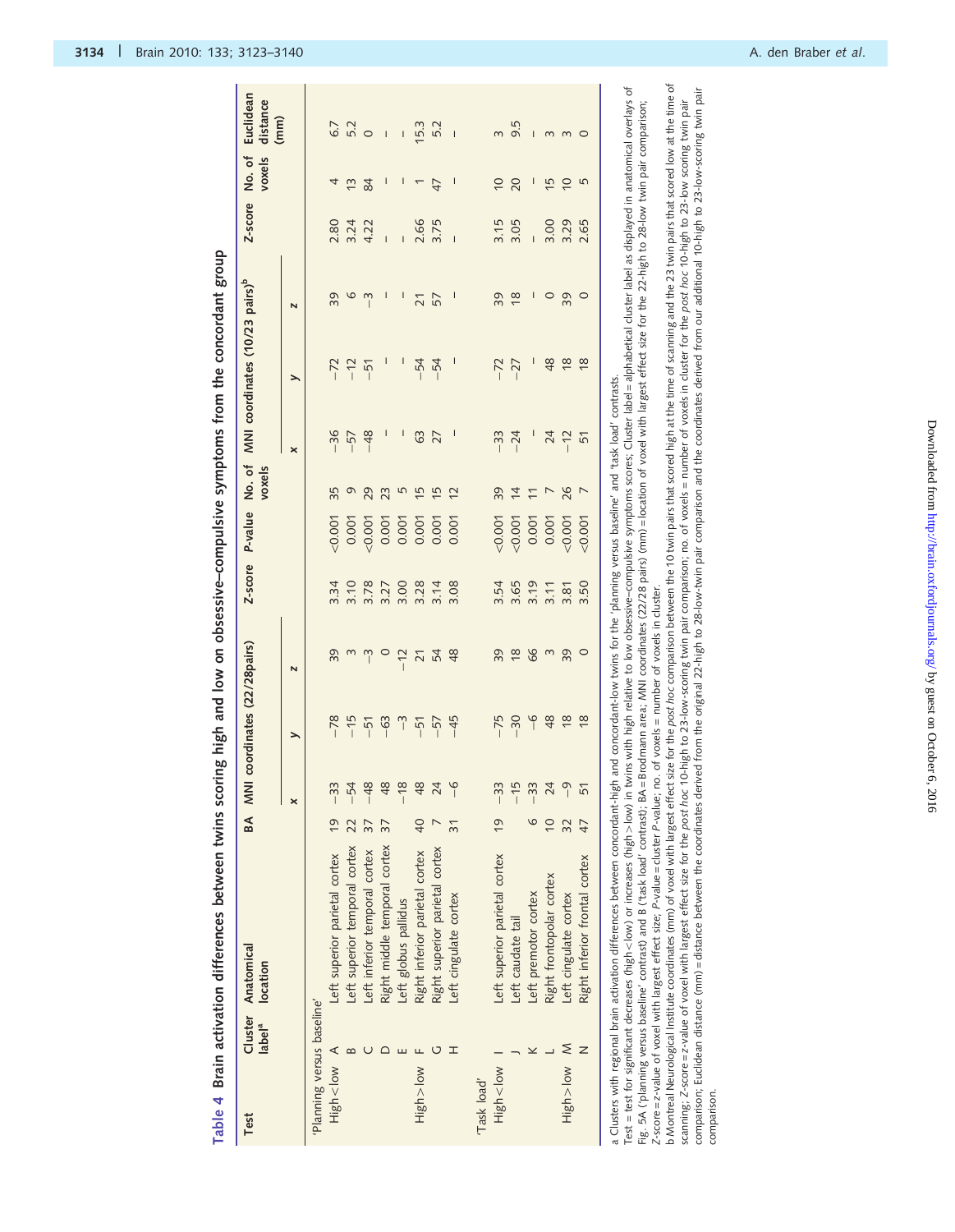| $\overline{0}$<br>20<br>I<br>I<br>I<br>$\mathsf{l}$<br>15<br>$\overline{0}$<br>5<br>4<br>$\tilde{c}$<br>$\frac{8}{4}$<br>$\overline{\phantom{0}}$<br>$\overline{4}$<br>2.66<br>3.15<br>3.00<br>2.80<br>3.24<br>3.75<br>3.05<br>3.29<br>2.65<br>4.22<br>$\overline{1}$<br>39<br>$\frac{8}{2}$<br>39<br>0<br>I<br>I<br>I<br>$\circ$<br>$\circ$<br>$\tilde{ }$<br>57<br>I<br>39<br>$\overline{21}$<br>N<br>48<br>$\frac{8}{3}$<br>$\frac{8}{18}$<br>$-54$<br>$-54$<br>$-72$<br>$-72$<br>$-12$<br>$-27$<br>$-51$<br>⋋<br>and concordant-low twins for the 'planning versus baseline' and 'task load' contrasts<br>$-36$<br>I<br>I<br>$\frac{48}{5}$<br>63<br>27<br>$-33$<br>$-24$<br>24<br>$-12$<br>$-57$<br>51<br>$\pmb{\times}$<br>35<br>39<br>26<br>Q<br>29<br>23<br>5<br>$\overline{15}$<br>$\overline{15}$<br>$\overline{c}$<br>$\overline{4}$<br>$\overline{ }$<br>0.001<br>0.001<br>0.007<br>0.001<br>0.001<br>0.001<br>0.001<br>0.001<br>0.001<br>0.001<br>0.001<br>0.001<br>0.007<br>0.001<br>3.10<br>3.34<br>3.78<br>3.00<br>3.28<br>3.14<br>3.54<br>3.65<br>3.19<br>3.50<br>3.27<br>3.08<br>3.11<br>3.81<br>39<br>39<br>$\frac{8}{2}$<br>89<br>$\sim$<br>39<br>$\circ$<br>S<br>$\tilde{z}$<br>$\circ$<br>54<br>48<br>$-12$<br>$\overline{21}$<br>$\overline{\mathsf{N}}$<br>$\frac{6}{1}$<br>48<br>$\frac{8}{3}$<br>$\frac{8}{18}$<br>$-78$<br>$-15$<br>$-75$<br>$-30$<br>$-63$<br>$\overline{\phantom{0}}$<br>$-45$<br>$-57$<br>$-51$<br>$-51$<br>⋋<br>$-33$<br>$-54$<br>$-48$<br>48<br>$-18$<br>48<br>24<br>$\frac{6}{1}$<br>$-33$<br>$-15$<br>$-33$<br>24<br>51<br>a Clusters with regional brain activation differences between concordant-high<br>×<br>$\overline{6}$<br>$\frac{1}{2}$<br>$\overline{40}$<br>47<br>37<br>32<br>$\overline{3}$ 1<br>Left superior temporal cortex<br>Right middle temporal cortex<br>Right superior parietal cortex<br>Left inferior temporal cortex<br>Right inferior parietal cortex<br>Left superior parietal cortex<br>Left superior parietal cortex<br>Right inferior frontal cortex<br>Right frontopolar cortex<br>Left premotor cortex<br>Left cingulate cortex<br>Left cingulate cortex<br>Left globus pallidus<br>Left caudate tail<br>'Planning versus baseline'<br>$\leq$<br>H<br>⋖<br>ロ<br>Mo >uglH<br>Mol<br><br>High>low<br>wol <dalk<br>High &lt; low<br/>"Task load"</dalk<br> | Cluster<br>label <sup>a</sup><br>Test | Anatomical<br>location | BA MNI | coordinates (22/28 pairs) | Z-score | P-value | No. of<br>voxels | MNI coordinates (10/23 pairs) <sup>b</sup> | Z-score | No.of<br>voxels | Euclidean<br>distance<br>(mm) |
|-------------------------------------------------------------------------------------------------------------------------------------------------------------------------------------------------------------------------------------------------------------------------------------------------------------------------------------------------------------------------------------------------------------------------------------------------------------------------------------------------------------------------------------------------------------------------------------------------------------------------------------------------------------------------------------------------------------------------------------------------------------------------------------------------------------------------------------------------------------------------------------------------------------------------------------------------------------------------------------------------------------------------------------------------------------------------------------------------------------------------------------------------------------------------------------------------------------------------------------------------------------------------------------------------------------------------------------------------------------------------------------------------------------------------------------------------------------------------------------------------------------------------------------------------------------------------------------------------------------------------------------------------------------------------------------------------------------------------------------------------------------------------------------------------------------------------------------------------------------------------------------------------------------------------------------------------------------------------------------------------------------------------------------------------------------------------------------------------------------------------------------------------------------------------------------------------------------------------------------------------------------------------------------------------------------------------------------------|---------------------------------------|------------------------|--------|---------------------------|---------|---------|------------------|--------------------------------------------|---------|-----------------|-------------------------------|
|                                                                                                                                                                                                                                                                                                                                                                                                                                                                                                                                                                                                                                                                                                                                                                                                                                                                                                                                                                                                                                                                                                                                                                                                                                                                                                                                                                                                                                                                                                                                                                                                                                                                                                                                                                                                                                                                                                                                                                                                                                                                                                                                                                                                                                                                                                                                           |                                       |                        |        |                           |         |         |                  |                                            |         |                 |                               |
|                                                                                                                                                                                                                                                                                                                                                                                                                                                                                                                                                                                                                                                                                                                                                                                                                                                                                                                                                                                                                                                                                                                                                                                                                                                                                                                                                                                                                                                                                                                                                                                                                                                                                                                                                                                                                                                                                                                                                                                                                                                                                                                                                                                                                                                                                                                                           |                                       |                        |        |                           |         |         |                  |                                            |         |                 |                               |
|                                                                                                                                                                                                                                                                                                                                                                                                                                                                                                                                                                                                                                                                                                                                                                                                                                                                                                                                                                                                                                                                                                                                                                                                                                                                                                                                                                                                                                                                                                                                                                                                                                                                                                                                                                                                                                                                                                                                                                                                                                                                                                                                                                                                                                                                                                                                           |                                       |                        |        |                           |         |         |                  |                                            |         |                 | 6.7                           |
|                                                                                                                                                                                                                                                                                                                                                                                                                                                                                                                                                                                                                                                                                                                                                                                                                                                                                                                                                                                                                                                                                                                                                                                                                                                                                                                                                                                                                                                                                                                                                                                                                                                                                                                                                                                                                                                                                                                                                                                                                                                                                                                                                                                                                                                                                                                                           |                                       |                        |        |                           |         |         |                  |                                            |         |                 | 5.2                           |
|                                                                                                                                                                                                                                                                                                                                                                                                                                                                                                                                                                                                                                                                                                                                                                                                                                                                                                                                                                                                                                                                                                                                                                                                                                                                                                                                                                                                                                                                                                                                                                                                                                                                                                                                                                                                                                                                                                                                                                                                                                                                                                                                                                                                                                                                                                                                           |                                       |                        |        |                           |         |         |                  |                                            |         |                 | $\circ$                       |
|                                                                                                                                                                                                                                                                                                                                                                                                                                                                                                                                                                                                                                                                                                                                                                                                                                                                                                                                                                                                                                                                                                                                                                                                                                                                                                                                                                                                                                                                                                                                                                                                                                                                                                                                                                                                                                                                                                                                                                                                                                                                                                                                                                                                                                                                                                                                           |                                       |                        |        |                           |         |         |                  |                                            |         |                 | $\overline{1}$                |
|                                                                                                                                                                                                                                                                                                                                                                                                                                                                                                                                                                                                                                                                                                                                                                                                                                                                                                                                                                                                                                                                                                                                                                                                                                                                                                                                                                                                                                                                                                                                                                                                                                                                                                                                                                                                                                                                                                                                                                                                                                                                                                                                                                                                                                                                                                                                           |                                       |                        |        |                           |         |         |                  |                                            |         |                 | $\sf I$                       |
|                                                                                                                                                                                                                                                                                                                                                                                                                                                                                                                                                                                                                                                                                                                                                                                                                                                                                                                                                                                                                                                                                                                                                                                                                                                                                                                                                                                                                                                                                                                                                                                                                                                                                                                                                                                                                                                                                                                                                                                                                                                                                                                                                                                                                                                                                                                                           |                                       |                        |        |                           |         |         |                  |                                            |         |                 | 15.3                          |
|                                                                                                                                                                                                                                                                                                                                                                                                                                                                                                                                                                                                                                                                                                                                                                                                                                                                                                                                                                                                                                                                                                                                                                                                                                                                                                                                                                                                                                                                                                                                                                                                                                                                                                                                                                                                                                                                                                                                                                                                                                                                                                                                                                                                                                                                                                                                           |                                       |                        |        |                           |         |         |                  |                                            |         |                 | 5.2                           |
|                                                                                                                                                                                                                                                                                                                                                                                                                                                                                                                                                                                                                                                                                                                                                                                                                                                                                                                                                                                                                                                                                                                                                                                                                                                                                                                                                                                                                                                                                                                                                                                                                                                                                                                                                                                                                                                                                                                                                                                                                                                                                                                                                                                                                                                                                                                                           |                                       |                        |        |                           |         |         |                  |                                            |         |                 | $\overline{1}$                |
|                                                                                                                                                                                                                                                                                                                                                                                                                                                                                                                                                                                                                                                                                                                                                                                                                                                                                                                                                                                                                                                                                                                                                                                                                                                                                                                                                                                                                                                                                                                                                                                                                                                                                                                                                                                                                                                                                                                                                                                                                                                                                                                                                                                                                                                                                                                                           |                                       |                        |        |                           |         |         |                  |                                            |         |                 |                               |
|                                                                                                                                                                                                                                                                                                                                                                                                                                                                                                                                                                                                                                                                                                                                                                                                                                                                                                                                                                                                                                                                                                                                                                                                                                                                                                                                                                                                                                                                                                                                                                                                                                                                                                                                                                                                                                                                                                                                                                                                                                                                                                                                                                                                                                                                                                                                           |                                       |                        |        |                           |         |         |                  |                                            |         |                 | $\infty$                      |
|                                                                                                                                                                                                                                                                                                                                                                                                                                                                                                                                                                                                                                                                                                                                                                                                                                                                                                                                                                                                                                                                                                                                                                                                                                                                                                                                                                                                                                                                                                                                                                                                                                                                                                                                                                                                                                                                                                                                                                                                                                                                                                                                                                                                                                                                                                                                           |                                       |                        |        |                           |         |         |                  |                                            |         |                 | 9.5                           |
|                                                                                                                                                                                                                                                                                                                                                                                                                                                                                                                                                                                                                                                                                                                                                                                                                                                                                                                                                                                                                                                                                                                                                                                                                                                                                                                                                                                                                                                                                                                                                                                                                                                                                                                                                                                                                                                                                                                                                                                                                                                                                                                                                                                                                                                                                                                                           |                                       |                        |        |                           |         |         |                  |                                            |         |                 | $\mathsf{I}$                  |
|                                                                                                                                                                                                                                                                                                                                                                                                                                                                                                                                                                                                                                                                                                                                                                                                                                                                                                                                                                                                                                                                                                                                                                                                                                                                                                                                                                                                                                                                                                                                                                                                                                                                                                                                                                                                                                                                                                                                                                                                                                                                                                                                                                                                                                                                                                                                           |                                       |                        |        |                           |         |         |                  |                                            |         |                 | 3                             |
|                                                                                                                                                                                                                                                                                                                                                                                                                                                                                                                                                                                                                                                                                                                                                                                                                                                                                                                                                                                                                                                                                                                                                                                                                                                                                                                                                                                                                                                                                                                                                                                                                                                                                                                                                                                                                                                                                                                                                                                                                                                                                                                                                                                                                                                                                                                                           |                                       |                        |        |                           |         |         |                  |                                            |         |                 | $\epsilon$                    |
|                                                                                                                                                                                                                                                                                                                                                                                                                                                                                                                                                                                                                                                                                                                                                                                                                                                                                                                                                                                                                                                                                                                                                                                                                                                                                                                                                                                                                                                                                                                                                                                                                                                                                                                                                                                                                                                                                                                                                                                                                                                                                                                                                                                                                                                                                                                                           |                                       |                        |        |                           |         |         |                  |                                            |         |                 | $\circ$                       |
| Test = test for significant decreases (high <\low) or increases (high> low) in twins with high relative to low obsessive-compulsive symptoms scores; Cluster label = alphabetical cluster label as displayed in anatomical ove<br>Brodmann area; MNI coordinates (22/28 pairs) (mm) = location of voxel with largest effect size for the 22-high to 28-low twin pair comparison;<br>Fig. 5A ('planning versus baseline' contrast) and B ('task load' contrast); BA=                                                                                                                                                                                                                                                                                                                                                                                                                                                                                                                                                                                                                                                                                                                                                                                                                                                                                                                                                                                                                                                                                                                                                                                                                                                                                                                                                                                                                                                                                                                                                                                                                                                                                                                                                                                                                                                                       |                                       |                        |        |                           |         |         |                  |                                            |         |                 |                               |

b Montreal Neurological Institute coordinates (mm) of voxel with largest effect size for the post *hoc* comparison between the 10 twin pairs that scored high at the time of scanning and the 23 twin pairs that scored low at b Montreal Neurological Institute coordinates (mm) of yoxel with largest effect size for the post hoc comparison between the 10 twin pairs that iscored high at the time of scanning and the 23 twin pairs that scored low at comparison; Euclidean distance (mm) = distance between the coordinates derived from the original 22-high to 28-low-twin pair comparison and the coordinates derived from our additional 10-high to 23-low-scoring twin pair scanning; Z-score=z-value of voxel with largest effect size for the post hoc 10-high to 23-low-scoring twis pair pair pair comparison; no. of voxels = number of voxels in cluster for the post hoc 10-high to 23-low scoring comparison.

comparison.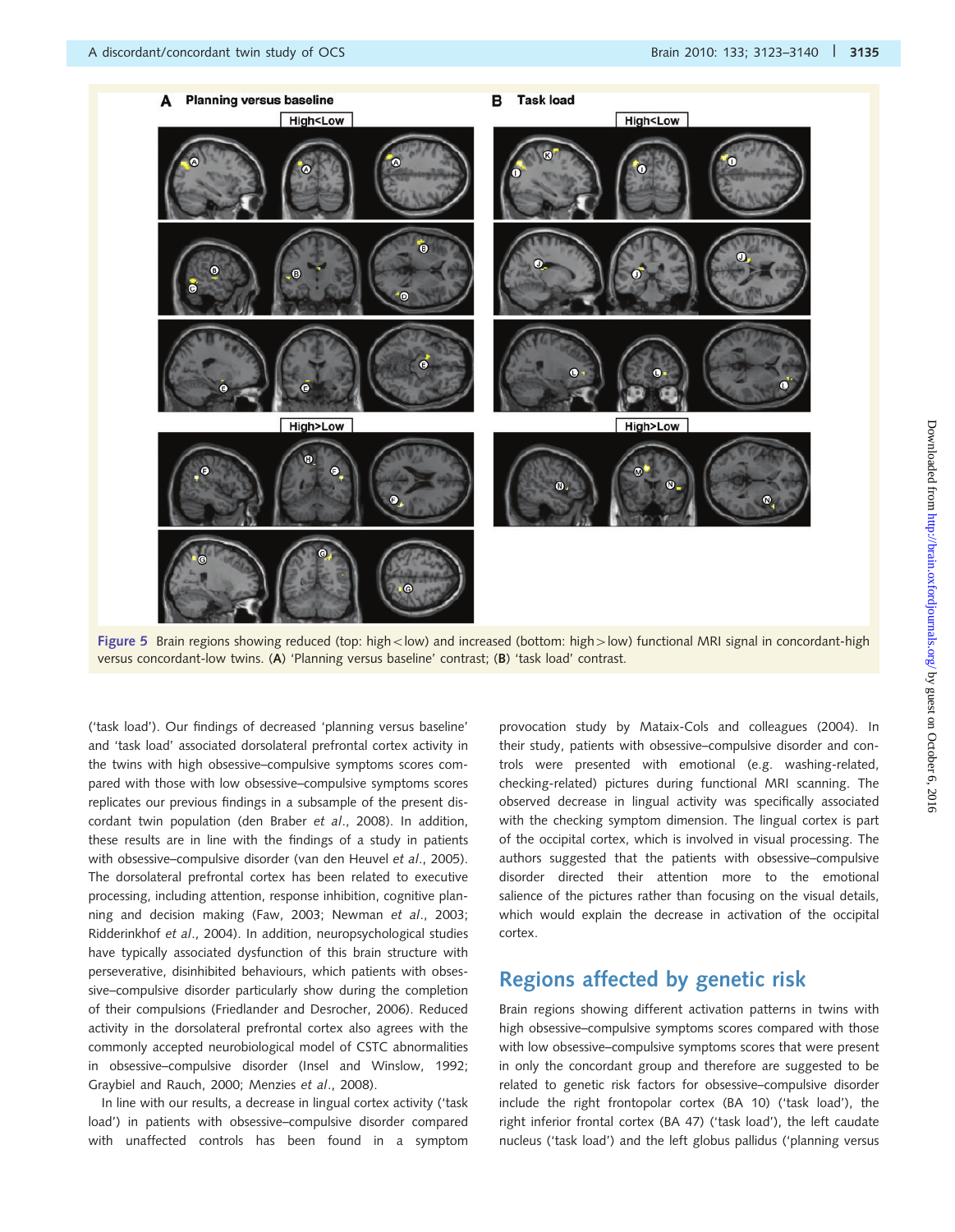

Figure 5 Brain regions showing reduced (top: high < low) and increased (bottom: high > low) functional MRI signal in concordant-high versus concordant-low twins. (A) 'Planning versus baseline' contrast; (B) 'task load' contrast.

('task load'). Our findings of decreased 'planning versus baseline' and 'task load' associated dorsolateral prefrontal cortex activity in the twins with high obsessive–compulsive symptoms scores compared with those with low obsessive–compulsive symptoms scores replicates our previous findings in a subsample of the present discordant twin population (den Braber et al., 2008). In addition, these results are in line with the findings of a study in patients with obsessive–compulsive disorder (van den Heuvel et al., 2005). The dorsolateral prefrontal cortex has been related to executive processing, including attention, response inhibition, cognitive planning and decision making (Faw, 2003; Newman et al., 2003; Ridderinkhof et al., 2004). In addition, neuropsychological studies have typically associated dysfunction of this brain structure with perseverative, disinhibited behaviours, which patients with obsessive–compulsive disorder particularly show during the completion of their compulsions (Friedlander and Desrocher, 2006). Reduced activity in the dorsolateral prefrontal cortex also agrees with the commonly accepted neurobiological model of CSTC abnormalities in obsessive–compulsive disorder (Insel and Winslow, 1992; Graybiel and Rauch, 2000; Menzies et al., 2008).

In line with our results, a decrease in lingual cortex activity ('task load') in patients with obsessive–compulsive disorder compared with unaffected controls has been found in a symptom provocation study by Mataix-Cols and colleagues (2004). In their study, patients with obsessive–compulsive disorder and controls were presented with emotional (e.g. washing-related, checking-related) pictures during functional MRI scanning. The observed decrease in lingual activity was specifically associated with the checking symptom dimension. The lingual cortex is part of the occipital cortex, which is involved in visual processing. The authors suggested that the patients with obsessive–compulsive disorder directed their attention more to the emotional salience of the pictures rather than focusing on the visual details, which would explain the decrease in activation of the occipital cortex.

### Regions affected by genetic risk

Brain regions showing different activation patterns in twins with high obsessive–compulsive symptoms scores compared with those with low obsessive–compulsive symptoms scores that were present in only the concordant group and therefore are suggested to be related to genetic risk factors for obsessive–compulsive disorder include the right frontopolar cortex (BA 10) ('task load'), the right inferior frontal cortex (BA 47) ('task load'), the left caudate nucleus ('task load') and the left globus pallidus ('planning versus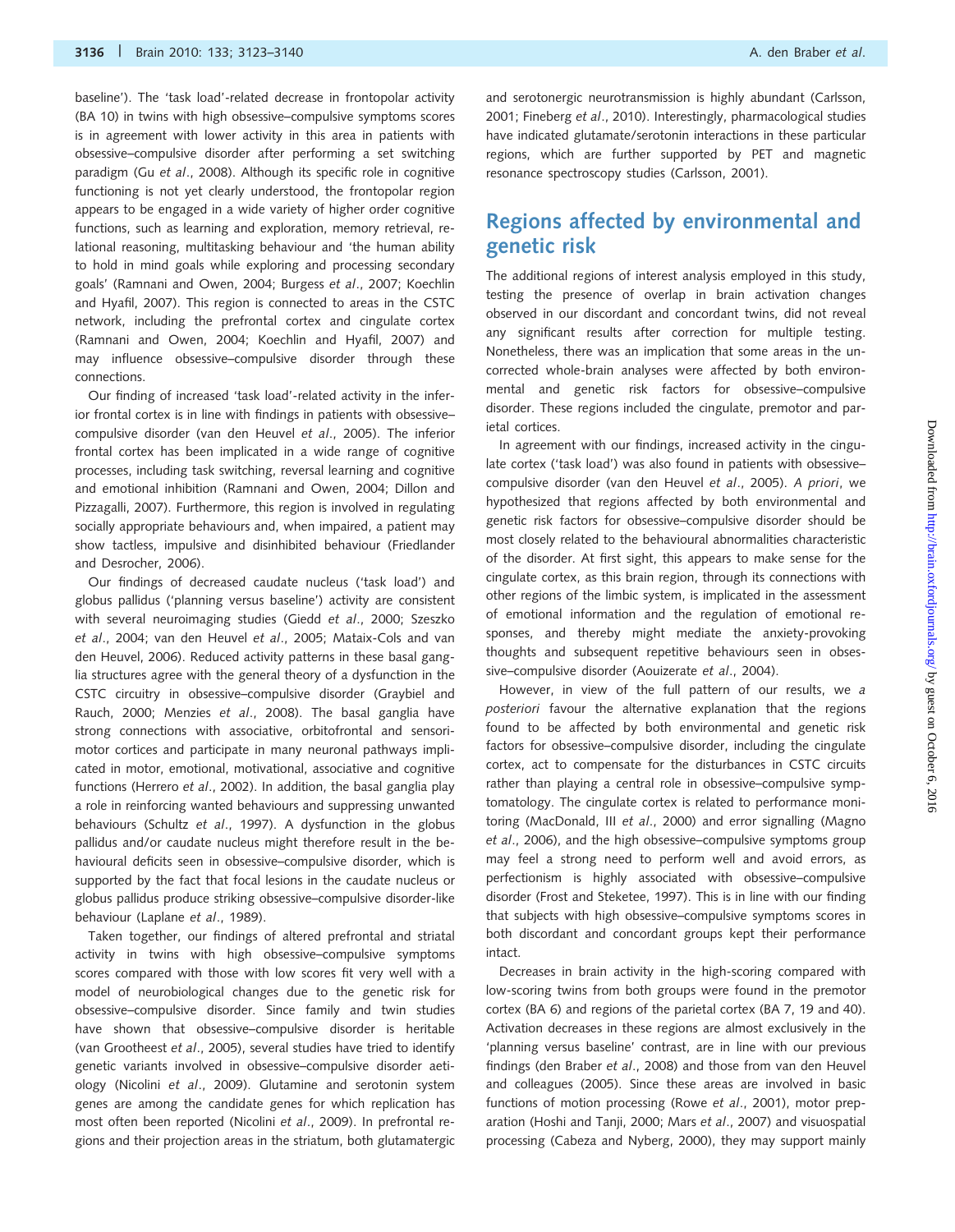baseline'). The 'task load'-related decrease in frontopolar activity (BA 10) in twins with high obsessive–compulsive symptoms scores is in agreement with lower activity in this area in patients with obsessive–compulsive disorder after performing a set switching paradigm (Gu et al., 2008). Although its specific role in cognitive functioning is not yet clearly understood, the frontopolar region appears to be engaged in a wide variety of higher order cognitive functions, such as learning and exploration, memory retrieval, relational reasoning, multitasking behaviour and 'the human ability to hold in mind goals while exploring and processing secondary goals' (Ramnani and Owen, 2004; Burgess et al., 2007; Koechlin and Hyafil, 2007). This region is connected to areas in the CSTC network, including the prefrontal cortex and cingulate cortex (Ramnani and Owen, 2004; Koechlin and Hyafil, 2007) and may influence obsessive–compulsive disorder through these connections.

Our finding of increased 'task load'-related activity in the inferior frontal cortex is in line with findings in patients with obsessive– compulsive disorder (van den Heuvel et al., 2005). The inferior frontal cortex has been implicated in a wide range of cognitive processes, including task switching, reversal learning and cognitive and emotional inhibition (Ramnani and Owen, 2004; Dillon and Pizzagalli, 2007). Furthermore, this region is involved in regulating socially appropriate behaviours and, when impaired, a patient may show tactless, impulsive and disinhibited behaviour (Friedlander and Desrocher, 2006).

Our findings of decreased caudate nucleus ('task load') and globus pallidus ('planning versus baseline') activity are consistent with several neuroimaging studies (Giedd et al., 2000; Szeszko et al., 2004; van den Heuvel et al., 2005; Mataix-Cols and van den Heuvel, 2006). Reduced activity patterns in these basal ganglia structures agree with the general theory of a dysfunction in the CSTC circuitry in obsessive–compulsive disorder (Graybiel and Rauch, 2000; Menzies et al., 2008). The basal ganglia have strong connections with associative, orbitofrontal and sensorimotor cortices and participate in many neuronal pathways implicated in motor, emotional, motivational, associative and cognitive functions (Herrero et al., 2002). In addition, the basal ganglia play a role in reinforcing wanted behaviours and suppressing unwanted behaviours (Schultz et al., 1997). A dysfunction in the globus pallidus and/or caudate nucleus might therefore result in the behavioural deficits seen in obsessive–compulsive disorder, which is supported by the fact that focal lesions in the caudate nucleus or globus pallidus produce striking obsessive–compulsive disorder-like behaviour (Laplane et al., 1989).

Taken together, our findings of altered prefrontal and striatal activity in twins with high obsessive–compulsive symptoms scores compared with those with low scores fit very well with a model of neurobiological changes due to the genetic risk for obsessive–compulsive disorder. Since family and twin studies have shown that obsessive–compulsive disorder is heritable (van Grootheest et al., 2005), several studies have tried to identify genetic variants involved in obsessive–compulsive disorder aetiology (Nicolini et al., 2009). Glutamine and serotonin system genes are among the candidate genes for which replication has most often been reported (Nicolini et al., 2009). In prefrontal regions and their projection areas in the striatum, both glutamatergic and serotonergic neurotransmission is highly abundant (Carlsson, 2001; Fineberg et al., 2010). Interestingly, pharmacological studies have indicated glutamate/serotonin interactions in these particular regions, which are further supported by PET and magnetic resonance spectroscopy studies (Carlsson, 2001).

## Regions affected by environmental and genetic risk

The additional regions of interest analysis employed in this study, testing the presence of overlap in brain activation changes observed in our discordant and concordant twins, did not reveal any significant results after correction for multiple testing. Nonetheless, there was an implication that some areas in the uncorrected whole-brain analyses were affected by both environmental and genetic risk factors for obsessive–compulsive disorder. These regions included the cingulate, premotor and parietal cortices.

In agreement with our findings, increased activity in the cingulate cortex ('task load') was also found in patients with obsessive– compulsive disorder (van den Heuvel et al., 2005). A priori, we hypothesized that regions affected by both environmental and genetic risk factors for obsessive–compulsive disorder should be most closely related to the behavioural abnormalities characteristic of the disorder. At first sight, this appears to make sense for the cingulate cortex, as this brain region, through its connections with other regions of the limbic system, is implicated in the assessment of emotional information and the regulation of emotional responses, and thereby might mediate the anxiety-provoking thoughts and subsequent repetitive behaviours seen in obsessive–compulsive disorder (Aouizerate et al., 2004).

However, in view of the full pattern of our results, we a posteriori favour the alternative explanation that the regions found to be affected by both environmental and genetic risk factors for obsessive–compulsive disorder, including the cingulate cortex, act to compensate for the disturbances in CSTC circuits rather than playing a central role in obsessive–compulsive symptomatology. The cingulate cortex is related to performance monitoring (MacDonald, III et al., 2000) and error signalling (Magno et al., 2006), and the high obsessive–compulsive symptoms group may feel a strong need to perform well and avoid errors, as perfectionism is highly associated with obsessive–compulsive disorder (Frost and Steketee, 1997). This is in line with our finding that subjects with high obsessive–compulsive symptoms scores in both discordant and concordant groups kept their performance intact.

Decreases in brain activity in the high-scoring compared with low-scoring twins from both groups were found in the premotor cortex (BA 6) and regions of the parietal cortex (BA 7, 19 and 40). Activation decreases in these regions are almost exclusively in the 'planning versus baseline' contrast, are in line with our previous findings (den Braber et al., 2008) and those from van den Heuvel and colleagues (2005). Since these areas are involved in basic functions of motion processing (Rowe et al., 2001), motor preparation (Hoshi and Tanji, 2000; Mars et al., 2007) and visuospatial processing (Cabeza and Nyberg, 2000), they may support mainly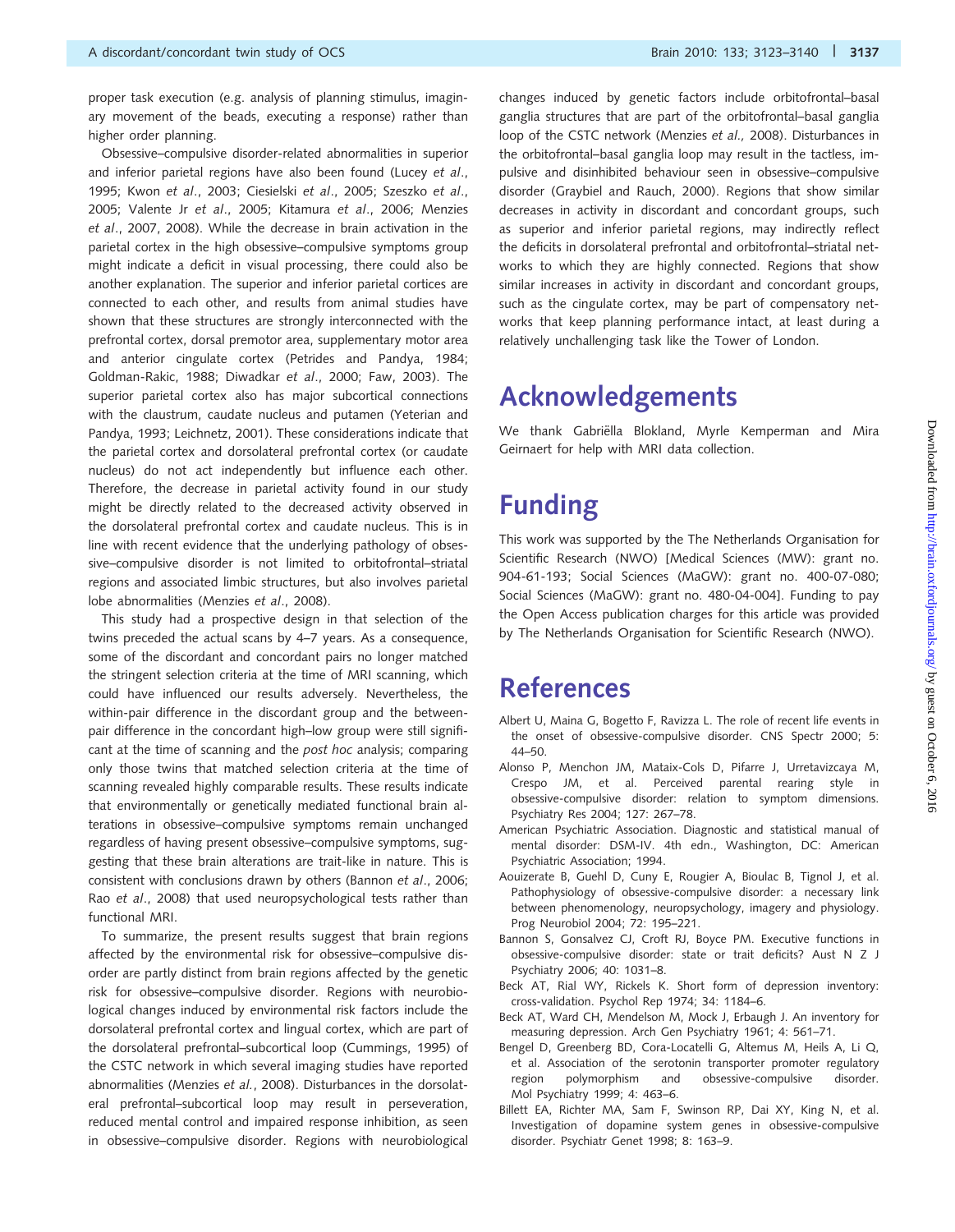proper task execution (e.g. analysis of planning stimulus, imaginary movement of the beads, executing a response) rather than higher order planning.

Obsessive–compulsive disorder-related abnormalities in superior and inferior parietal regions have also been found (Lucey et al., 1995; Kwon et al., 2003; Ciesielski et al., 2005; Szeszko et al., 2005; Valente Jr et al., 2005; Kitamura et al., 2006; Menzies et al., 2007, 2008). While the decrease in brain activation in the parietal cortex in the high obsessive–compulsive symptoms group might indicate a deficit in visual processing, there could also be another explanation. The superior and inferior parietal cortices are connected to each other, and results from animal studies have shown that these structures are strongly interconnected with the prefrontal cortex, dorsal premotor area, supplementary motor area and anterior cingulate cortex (Petrides and Pandya, 1984; Goldman-Rakic, 1988; Diwadkar et al., 2000; Faw, 2003). The superior parietal cortex also has major subcortical connections with the claustrum, caudate nucleus and putamen (Yeterian and Pandya, 1993; Leichnetz, 2001). These considerations indicate that the parietal cortex and dorsolateral prefrontal cortex (or caudate nucleus) do not act independently but influence each other. Therefore, the decrease in parietal activity found in our study might be directly related to the decreased activity observed in the dorsolateral prefrontal cortex and caudate nucleus. This is in line with recent evidence that the underlying pathology of obsessive–compulsive disorder is not limited to orbitofrontal–striatal regions and associated limbic structures, but also involves parietal lobe abnormalities (Menzies et al., 2008).

This study had a prospective design in that selection of the twins preceded the actual scans by 4–7 years. As a consequence, some of the discordant and concordant pairs no longer matched the stringent selection criteria at the time of MRI scanning, which could have influenced our results adversely. Nevertheless, the within-pair difference in the discordant group and the betweenpair difference in the concordant high–low group were still significant at the time of scanning and the post hoc analysis; comparing only those twins that matched selection criteria at the time of scanning revealed highly comparable results. These results indicate that environmentally or genetically mediated functional brain alterations in obsessive–compulsive symptoms remain unchanged regardless of having present obsessive–compulsive symptoms, suggesting that these brain alterations are trait-like in nature. This is consistent with conclusions drawn by others (Bannon et al., 2006; Rao et al., 2008) that used neuropsychological tests rather than functional MRI.

To summarize, the present results suggest that brain regions affected by the environmental risk for obsessive–compulsive disorder are partly distinct from brain regions affected by the genetic risk for obsessive–compulsive disorder. Regions with neurobiological changes induced by environmental risk factors include the dorsolateral prefrontal cortex and lingual cortex, which are part of the dorsolateral prefrontal–subcortical loop (Cummings, 1995) of the CSTC network in which several imaging studies have reported abnormalities (Menzies et al., 2008). Disturbances in the dorsolateral prefrontal–subcortical loop may result in perseveration, reduced mental control and impaired response inhibition, as seen in obsessive–compulsive disorder. Regions with neurobiological changes induced by genetic factors include orbitofrontal–basal ganglia structures that are part of the orbitofrontal–basal ganglia loop of the CSTC network (Menzies et al., 2008). Disturbances in the orbitofrontal–basal ganglia loop may result in the tactless, impulsive and disinhibited behaviour seen in obsessive–compulsive disorder (Graybiel and Rauch, 2000). Regions that show similar decreases in activity in discordant and concordant groups, such as superior and inferior parietal regions, may indirectly reflect the deficits in dorsolateral prefrontal and orbitofrontal–striatal networks to which they are highly connected. Regions that show similar increases in activity in discordant and concordant groups, such as the cingulate cortex, may be part of compensatory networks that keep planning performance intact, at least during a relatively unchallenging task like the Tower of London.

## Acknowledgements

We thank Gabriëlla Blokland, Myrle Kemperman and Mira Geirnaert for help with MRI data collection.

## Funding

This work was supported by the The Netherlands Organisation for Scientific Research (NWO) [Medical Sciences (MW): grant no. 904-61-193; Social Sciences (MaGW): grant no. 400-07-080; Social Sciences (MaGW): grant no. 480-04-004]. Funding to pay the Open Access publication charges for this article was provided by The Netherlands Organisation for Scientific Research (NWO).

## References

- Albert U, Maina G, Bogetto F, Ravizza L. The role of recent life events in the onset of obsessive-compulsive disorder. CNS Spectr 2000; 5: 44–50.
- Alonso P, Menchon JM, Mataix-Cols D, Pifarre J, Urretavizcaya M, Crespo JM, et al. Perceived parental rearing style in obsessive-compulsive disorder: relation to symptom dimensions. Psychiatry Res 2004; 127: 267–78.
- American Psychiatric Association. Diagnostic and statistical manual of mental disorder: DSM-IV. 4th edn., Washington, DC: American Psychiatric Association; 1994.
- Aouizerate B, Guehl D, Cuny E, Rougier A, Bioulac B, Tignol J, et al. Pathophysiology of obsessive-compulsive disorder: a necessary link between phenomenology, neuropsychology, imagery and physiology. Prog Neurobiol 2004; 72: 195–221.
- Bannon S, Gonsalvez CJ, Croft RJ, Boyce PM. Executive functions in obsessive-compulsive disorder: state or trait deficits? Aust N Z J Psychiatry 2006; 40: 1031–8.
- Beck AT, Rial WY, Rickels K. Short form of depression inventory: cross-validation. Psychol Rep 1974; 34: 1184–6.
- Beck AT, Ward CH, Mendelson M, Mock J, Erbaugh J. An inventory for measuring depression. Arch Gen Psychiatry 1961; 4: 561–71.
- Bengel D, Greenberg BD, Cora-Locatelli G, Altemus M, Heils A, Li Q, et al. Association of the serotonin transporter promoter regulatory region polymorphism and obsessive-compulsive disorder. Mol Psychiatry 1999; 4: 463–6.
- Billett EA, Richter MA, Sam F, Swinson RP, Dai XY, King N, et al. Investigation of dopamine system genes in obsessive-compulsive disorder. Psychiatr Genet 1998; 8: 163–9.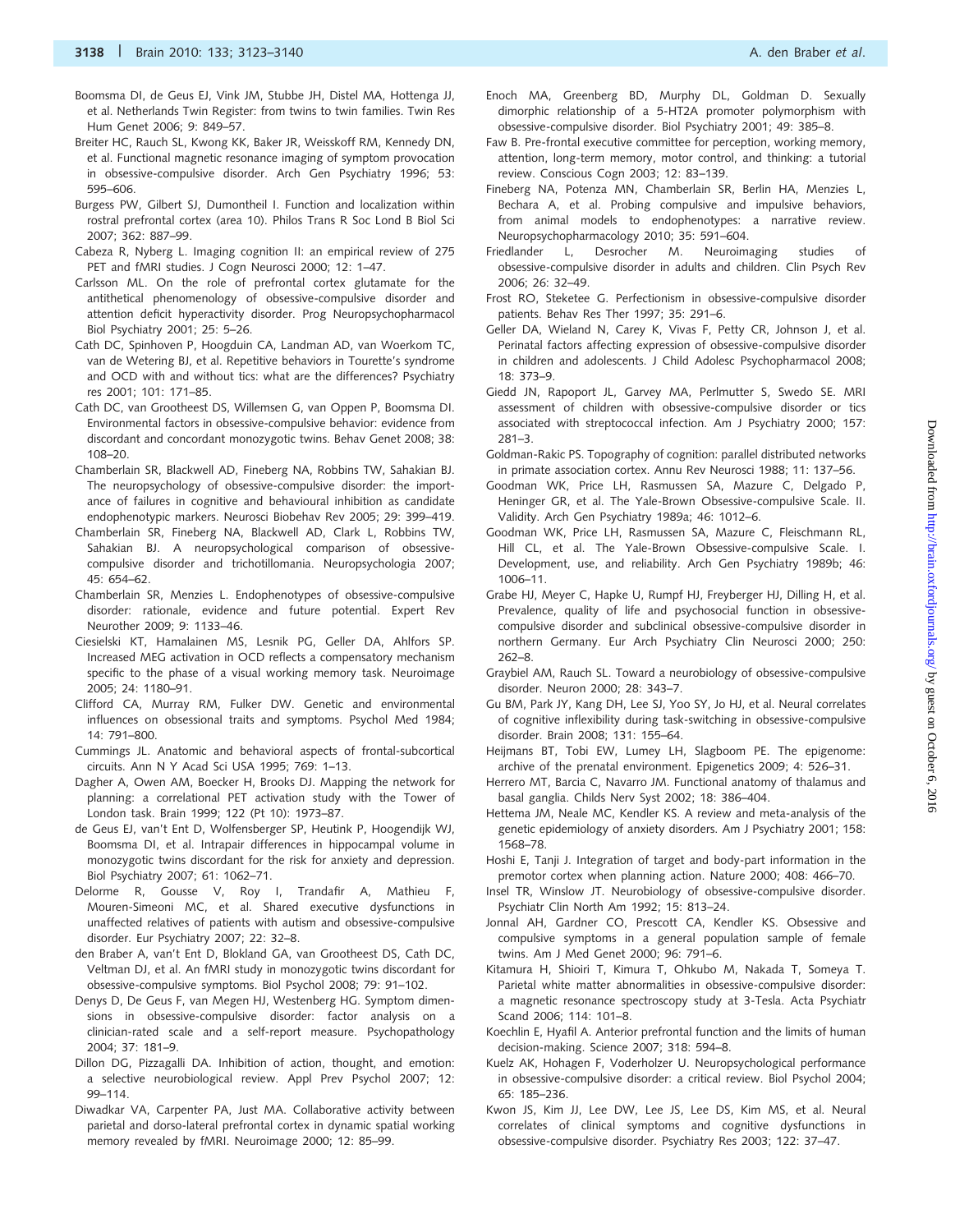- Boomsma DI, de Geus EJ, Vink JM, Stubbe JH, Distel MA, Hottenga JJ, et al. Netherlands Twin Register: from twins to twin families. Twin Res Hum Genet 2006; 9: 849–57.
- Breiter HC, Rauch SL, Kwong KK, Baker JR, Weisskoff RM, Kennedy DN, et al. Functional magnetic resonance imaging of symptom provocation in obsessive-compulsive disorder. Arch Gen Psychiatry 1996; 53: 595–606.
- Burgess PW, Gilbert SJ, Dumontheil I. Function and localization within rostral prefrontal cortex (area 10). Philos Trans R Soc Lond B Biol Sci 2007; 362: 887–99.
- Cabeza R, Nyberg L. Imaging cognition II: an empirical review of 275 PET and fMRI studies. J Cogn Neurosci 2000; 12: 1–47.
- Carlsson ML. On the role of prefrontal cortex glutamate for the antithetical phenomenology of obsessive-compulsive disorder and attention deficit hyperactivity disorder. Prog Neuropsychopharmacol Biol Psychiatry 2001; 25: 5–26.
- Cath DC, Spinhoven P, Hoogduin CA, Landman AD, van Woerkom TC, van de Wetering BJ, et al. Repetitive behaviors in Tourette's syndrome and OCD with and without tics: what are the differences? Psychiatry res 2001; 101: 171–85.
- Cath DC, van Grootheest DS, Willemsen G, van Oppen P, Boomsma DI. Environmental factors in obsessive-compulsive behavior: evidence from discordant and concordant monozygotic twins. Behav Genet 2008; 38: 108–20.
- Chamberlain SR, Blackwell AD, Fineberg NA, Robbins TW, Sahakian BJ. The neuropsychology of obsessive-compulsive disorder: the importance of failures in cognitive and behavioural inhibition as candidate endophenotypic markers. Neurosci Biobehav Rev 2005; 29: 399–419.
- Chamberlain SR, Fineberg NA, Blackwell AD, Clark L, Robbins TW, Sahakian BJ. A neuropsychological comparison of obsessivecompulsive disorder and trichotillomania. Neuropsychologia 2007; 45: 654–62.
- Chamberlain SR, Menzies L. Endophenotypes of obsessive-compulsive disorder: rationale, evidence and future potential. Expert Rev Neurother 2009; 9: 1133–46.
- Ciesielski KT, Hamalainen MS, Lesnik PG, Geller DA, Ahlfors SP. Increased MEG activation in OCD reflects a compensatory mechanism specific to the phase of a visual working memory task. Neuroimage 2005; 24: 1180–91.
- Clifford CA, Murray RM, Fulker DW. Genetic and environmental influences on obsessional traits and symptoms. Psychol Med 1984; 14: 791–800.
- Cummings JL. Anatomic and behavioral aspects of frontal-subcortical circuits. Ann N Y Acad Sci USA 1995; 769: 1–13.
- Dagher A, Owen AM, Boecker H, Brooks DJ. Mapping the network for planning: a correlational PET activation study with the Tower of London task. Brain 1999; 122 (Pt 10): 1973–87.
- de Geus EJ, van't Ent D, Wolfensberger SP, Heutink P, Hoogendijk WJ, Boomsma DI, et al. Intrapair differences in hippocampal volume in monozygotic twins discordant for the risk for anxiety and depression. Biol Psychiatry 2007; 61: 1062–71.
- Delorme R, Gousse V, Roy I, Trandafir A, Mathieu F, Mouren-Simeoni MC, et al. Shared executive dysfunctions in unaffected relatives of patients with autism and obsessive-compulsive disorder. Eur Psychiatry 2007; 22: 32–8.
- den Braber A, van't Ent D, Blokland GA, van Grootheest DS, Cath DC, Veltman DJ, et al. An fMRI study in monozygotic twins discordant for obsessive-compulsive symptoms. Biol Psychol 2008; 79: 91–102.
- Denys D, De Geus F, van Megen HJ, Westenberg HG. Symptom dimensions in obsessive-compulsive disorder: factor analysis on a clinician-rated scale and a self-report measure. Psychopathology 2004; 37: 181–9.
- Dillon DG, Pizzagalli DA. Inhibition of action, thought, and emotion: a selective neurobiological review. Appl Prev Psychol 2007; 12: 99–114.
- Diwadkar VA, Carpenter PA, Just MA. Collaborative activity between parietal and dorso-lateral prefrontal cortex in dynamic spatial working memory revealed by fMRI. Neuroimage 2000; 12: 85–99.
- Enoch MA, Greenberg BD, Murphy DL, Goldman D. Sexually dimorphic relationship of a 5-HT2A promoter polymorphism with obsessive-compulsive disorder. Biol Psychiatry 2001; 49: 385–8.
- Faw B. Pre-frontal executive committee for perception, working memory, attention, long-term memory, motor control, and thinking: a tutorial review. Conscious Cogn 2003; 12: 83–139.
- Fineberg NA, Potenza MN, Chamberlain SR, Berlin HA, Menzies L, Bechara A, et al. Probing compulsive and impulsive behaviors, from animal models to endophenotypes: a narrative review. Neuropsychopharmacology 2010; 35: 591–604.
- Friedlander L, Desrocher M. Neuroimaging studies of obsessive-compulsive disorder in adults and children. Clin Psych Rev 2006; 26: 32–49.
- Frost RO, Steketee G. Perfectionism in obsessive-compulsive disorder patients. Behav Res Ther 1997; 35: 291–6.
- Geller DA, Wieland N, Carey K, Vivas F, Petty CR, Johnson J, et al. Perinatal factors affecting expression of obsessive-compulsive disorder in children and adolescents. J Child Adolesc Psychopharmacol 2008; 18: 373–9.
- Giedd JN, Rapoport JL, Garvey MA, Perlmutter S, Swedo SE. MRI assessment of children with obsessive-compulsive disorder or tics associated with streptococcal infection. Am J Psychiatry 2000; 157: 281–3.
- Goldman-Rakic PS. Topography of cognition: parallel distributed networks in primate association cortex. Annu Rev Neurosci 1988; 11: 137–56.
- Goodman WK, Price LH, Rasmussen SA, Mazure C, Delgado P, Heninger GR, et al. The Yale-Brown Obsessive-compulsive Scale. II. Validity. Arch Gen Psychiatry 1989a; 46: 1012–6.
- Goodman WK, Price LH, Rasmussen SA, Mazure C, Fleischmann RL, Hill CL, et al. The Yale-Brown Obsessive-compulsive Scale. I. Development, use, and reliability. Arch Gen Psychiatry 1989b; 46: 1006–11.
- Grabe HJ, Meyer C, Hapke U, Rumpf HJ, Freyberger HJ, Dilling H, et al. Prevalence, quality of life and psychosocial function in obsessivecompulsive disorder and subclinical obsessive-compulsive disorder in northern Germany. Eur Arch Psychiatry Clin Neurosci 2000; 250: 262–8.
- Graybiel AM, Rauch SL. Toward a neurobiology of obsessive-compulsive disorder. Neuron 2000; 28: 343–7.
- Gu BM, Park JY, Kang DH, Lee SJ, Yoo SY, Jo HJ, et al. Neural correlates of cognitive inflexibility during task-switching in obsessive-compulsive disorder. Brain 2008; 131: 155–64.
- Heijmans BT, Tobi EW, Lumey LH, Slagboom PE. The epigenome: archive of the prenatal environment. Epigenetics 2009; 4: 526–31.
- Herrero MT, Barcia C, Navarro JM. Functional anatomy of thalamus and basal ganglia. Childs Nerv Syst 2002; 18: 386–404.
- Hettema JM, Neale MC, Kendler KS. A review and meta-analysis of the genetic epidemiology of anxiety disorders. Am J Psychiatry 2001; 158: 1568–78.
- Hoshi E, Tanji J. Integration of target and body-part information in the premotor cortex when planning action. Nature 2000; 408: 466–70.
- Insel TR, Winslow JT. Neurobiology of obsessive-compulsive disorder. Psychiatr Clin North Am 1992; 15: 813–24.
- Jonnal AH, Gardner CO, Prescott CA, Kendler KS. Obsessive and compulsive symptoms in a general population sample of female twins. Am J Med Genet 2000; 96: 791–6.
- Kitamura H, Shioiri T, Kimura T, Ohkubo M, Nakada T, Someya T. Parietal white matter abnormalities in obsessive-compulsive disorder: a magnetic resonance spectroscopy study at 3-Tesla. Acta Psychiatr Scand 2006; 114: 101–8.
- Koechlin E, Hyafil A. Anterior prefrontal function and the limits of human decision-making. Science 2007; 318: 594–8.
- Kuelz AK, Hohagen F, Voderholzer U. Neuropsychological performance in obsessive-compulsive disorder: a critical review. Biol Psychol 2004; 65: 185–236.
- Kwon JS, Kim JJ, Lee DW, Lee JS, Lee DS, Kim MS, et al. Neural correlates of clinical symptoms and cognitive dysfunctions in obsessive-compulsive disorder. Psychiatry Res 2003; 122: 37–47.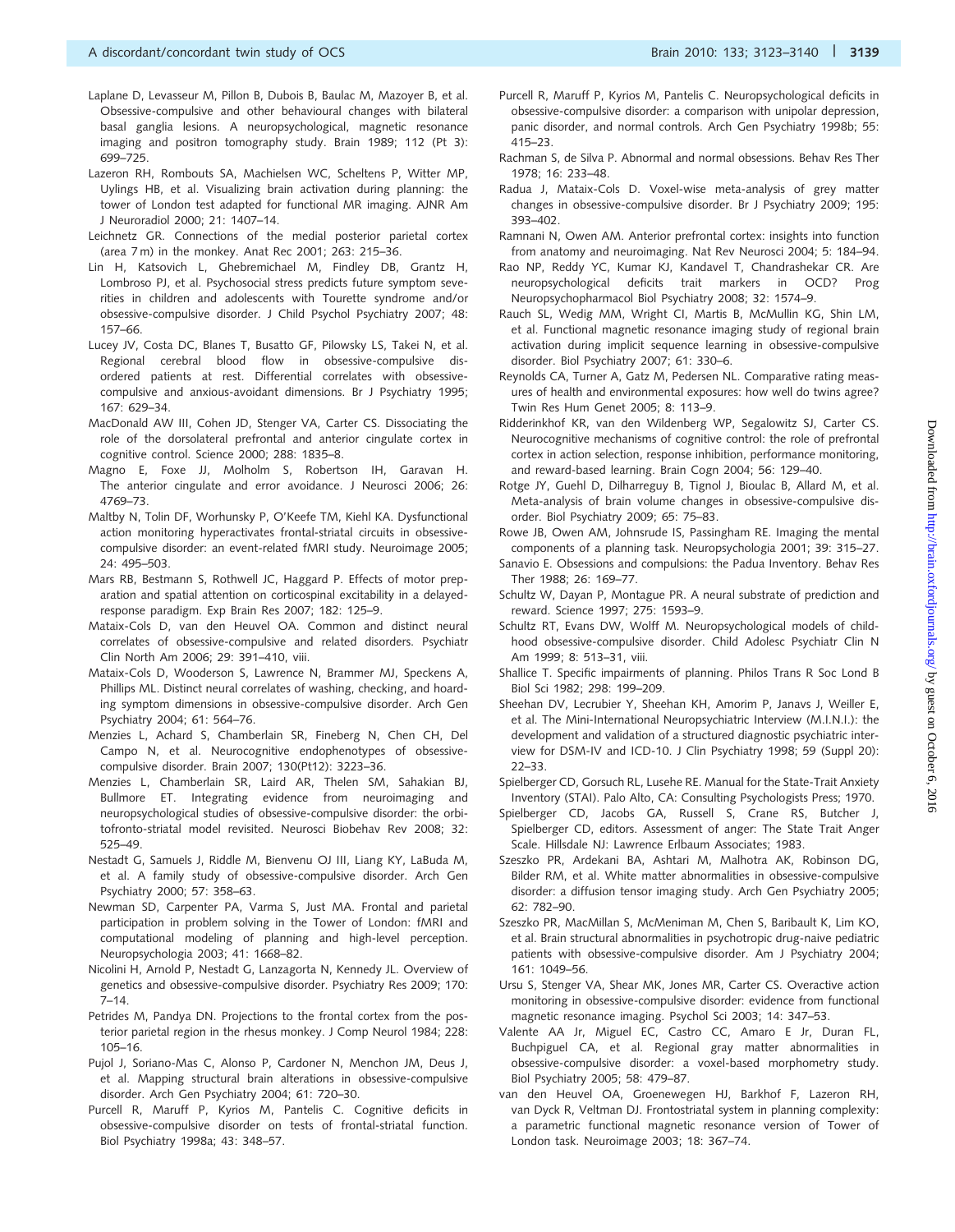- Laplane D, Levasseur M, Pillon B, Dubois B, Baulac M, Mazoyer B, et al. Obsessive-compulsive and other behavioural changes with bilateral basal ganglia lesions. A neuropsychological, magnetic resonance imaging and positron tomography study. Brain 1989; 112 (Pt 3): 699–725.
- Lazeron RH, Rombouts SA, Machielsen WC, Scheltens P, Witter MP, Uylings HB, et al. Visualizing brain activation during planning: the tower of London test adapted for functional MR imaging. AJNR Am J Neuroradiol 2000; 21: 1407–14.
- Leichnetz GR. Connections of the medial posterior parietal cortex (area 7 m) in the monkey. Anat Rec 2001; 263: 215–36.
- Lin H, Katsovich L, Ghebremichael M, Findley DB, Grantz H, Lombroso PJ, et al. Psychosocial stress predicts future symptom severities in children and adolescents with Tourette syndrome and/or obsessive-compulsive disorder. J Child Psychol Psychiatry 2007; 48: 157–66.
- Lucey JV, Costa DC, Blanes T, Busatto GF, Pilowsky LS, Takei N, et al. Regional cerebral blood flow in obsessive-compulsive disordered patients at rest. Differential correlates with obsessivecompulsive and anxious-avoidant dimensions. Br J Psychiatry 1995; 167: 629–34.
- MacDonald AW III, Cohen JD, Stenger VA, Carter CS. Dissociating the role of the dorsolateral prefrontal and anterior cingulate cortex in cognitive control. Science 2000; 288: 1835–8.
- Magno E, Foxe JJ, Molholm S, Robertson IH, Garavan H. The anterior cingulate and error avoidance. J Neurosci 2006; 26: 4769–73.
- Maltby N, Tolin DF, Worhunsky P, O'Keefe TM, Kiehl KA. Dysfunctional action monitoring hyperactivates frontal-striatal circuits in obsessivecompulsive disorder: an event-related fMRI study. Neuroimage 2005; 24: 495–503.
- Mars RB, Bestmann S, Rothwell JC, Haggard P. Effects of motor preparation and spatial attention on corticospinal excitability in a delayedresponse paradigm. Exp Brain Res 2007; 182: 125–9.
- Mataix-Cols D, van den Heuvel OA. Common and distinct neural correlates of obsessive-compulsive and related disorders. Psychiatr Clin North Am 2006; 29: 391–410, viii.
- Mataix-Cols D, Wooderson S, Lawrence N, Brammer MJ, Speckens A, Phillips ML. Distinct neural correlates of washing, checking, and hoarding symptom dimensions in obsessive-compulsive disorder. Arch Gen Psychiatry 2004; 61: 564–76.
- Menzies L, Achard S, Chamberlain SR, Fineberg N, Chen CH, Del Campo N, et al. Neurocognitive endophenotypes of obsessivecompulsive disorder. Brain 2007; 130(Pt12): 3223–36.
- Menzies L, Chamberlain SR, Laird AR, Thelen SM, Sahakian BJ, Bullmore ET. Integrating evidence from neuroimaging and neuropsychological studies of obsessive-compulsive disorder: the orbitofronto-striatal model revisited. Neurosci Biobehav Rev 2008; 32: 525–49.
- Nestadt G, Samuels J, Riddle M, Bienvenu OJ III, Liang KY, LaBuda M, et al. A family study of obsessive-compulsive disorder. Arch Gen Psychiatry 2000; 57: 358–63.
- Newman SD, Carpenter PA, Varma S, Just MA. Frontal and parietal participation in problem solving in the Tower of London: fMRI and computational modeling of planning and high-level perception. Neuropsychologia 2003; 41: 1668–82.
- Nicolini H, Arnold P, Nestadt G, Lanzagorta N, Kennedy JL. Overview of genetics and obsessive-compulsive disorder. Psychiatry Res 2009; 170: 7–14.
- Petrides M, Pandya DN. Projections to the frontal cortex from the posterior parietal region in the rhesus monkey. J Comp Neurol 1984; 228: 105–16.
- Pujol J, Soriano-Mas C, Alonso P, Cardoner N, Menchon JM, Deus J, et al. Mapping structural brain alterations in obsessive-compulsive disorder. Arch Gen Psychiatry 2004; 61: 720–30.
- Purcell R, Maruff P, Kyrios M, Pantelis C. Cognitive deficits in obsessive-compulsive disorder on tests of frontal-striatal function. Biol Psychiatry 1998a; 43: 348–57.
- Purcell R, Maruff P, Kyrios M, Pantelis C. Neuropsychological deficits in obsessive-compulsive disorder: a comparison with unipolar depression, panic disorder, and normal controls. Arch Gen Psychiatry 1998b; 55: 415–23.
- Rachman S, de Silva P. Abnormal and normal obsessions. Behav Res Ther 1978; 16: 233–48.
- Radua J, Mataix-Cols D. Voxel-wise meta-analysis of grey matter changes in obsessive-compulsive disorder. Br J Psychiatry 2009; 195: 393–402.
- Ramnani N, Owen AM. Anterior prefrontal cortex: insights into function from anatomy and neuroimaging. Nat Rev Neurosci 2004; 5: 184–94.
- Rao NP, Reddy YC, Kumar KJ, Kandavel T, Chandrashekar CR. Are neuropsychological deficits trait markers in OCD? Prog Neuropsychopharmacol Biol Psychiatry 2008; 32: 1574–9.
- Rauch SL, Wedig MM, Wright CI, Martis B, McMullin KG, Shin LM, et al. Functional magnetic resonance imaging study of regional brain activation during implicit sequence learning in obsessive-compulsive disorder. Biol Psychiatry 2007; 61: 330–6.
- Reynolds CA, Turner A, Gatz M, Pedersen NL. Comparative rating measures of health and environmental exposures: how well do twins agree? Twin Res Hum Genet 2005; 8: 113–9.
- Ridderinkhof KR, van den Wildenberg WP, Segalowitz SJ, Carter CS. Neurocognitive mechanisms of cognitive control: the role of prefrontal cortex in action selection, response inhibition, performance monitoring, and reward-based learning. Brain Cogn 2004; 56: 129–40.
- Rotge JY, Guehl D, Dilharreguy B, Tignol J, Bioulac B, Allard M, et al. Meta-analysis of brain volume changes in obsessive-compulsive disorder. Biol Psychiatry 2009; 65: 75–83.
- Rowe JB, Owen AM, Johnsrude IS, Passingham RE. Imaging the mental components of a planning task. Neuropsychologia 2001; 39: 315–27.
- Sanavio E. Obsessions and compulsions: the Padua Inventory. Behav Res Ther 1988; 26: 169–77.
- Schultz W, Dayan P, Montague PR. A neural substrate of prediction and reward. Science 1997; 275: 1593–9.
- Schultz RT, Evans DW, Wolff M. Neuropsychological models of childhood obsessive-compulsive disorder. Child Adolesc Psychiatr Clin N Am 1999; 8: 513–31, viii.
- Shallice T. Specific impairments of planning. Philos Trans R Soc Lond B Biol Sci 1982; 298: 199–209.
- Sheehan DV, Lecrubier Y, Sheehan KH, Amorim P, Janavs J, Weiller E, et al. The Mini-International Neuropsychiatric Interview (M.I.N.I.): the development and validation of a structured diagnostic psychiatric interview for DSM-IV and ICD-10. J Clin Psychiatry 1998; 59 (Suppl 20): 22–33.
- Spielberger CD, Gorsuch RL, Lusehe RE. Manual for the State-Trait Anxiety Inventory (STAI). Palo Alto, CA: Consulting Psychologists Press; 1970.
- Spielberger CD, Jacobs GA, Russell S, Crane RS, Butcher J, Spielberger CD, editors. Assessment of anger: The State Trait Anger Scale. Hillsdale NJ: Lawrence Erlbaum Associates; 1983.
- Szeszko PR, Ardekani BA, Ashtari M, Malhotra AK, Robinson DG, Bilder RM, et al. White matter abnormalities in obsessive-compulsive disorder: a diffusion tensor imaging study. Arch Gen Psychiatry 2005; 62: 782–90.
- Szeszko PR, MacMillan S, McMeniman M, Chen S, Baribault K, Lim KO, et al. Brain structural abnormalities in psychotropic drug-naive pediatric patients with obsessive-compulsive disorder. Am J Psychiatry 2004; 161: 1049–56.
- Ursu S, Stenger VA, Shear MK, Jones MR, Carter CS. Overactive action monitoring in obsessive-compulsive disorder: evidence from functional magnetic resonance imaging. Psychol Sci 2003; 14: 347–53.
- Valente AA Jr, Miguel EC, Castro CC, Amaro E Jr, Duran FL, Buchpiguel CA, et al. Regional gray matter abnormalities in obsessive-compulsive disorder: a voxel-based morphometry study. Biol Psychiatry 2005; 58: 479–87.
- van den Heuvel OA, Groenewegen HJ, Barkhof F, Lazeron RH, van Dyck R, Veltman DJ. Frontostriatal system in planning complexity: a parametric functional magnetic resonance version of Tower of London task. Neuroimage 2003; 18: 367–74.